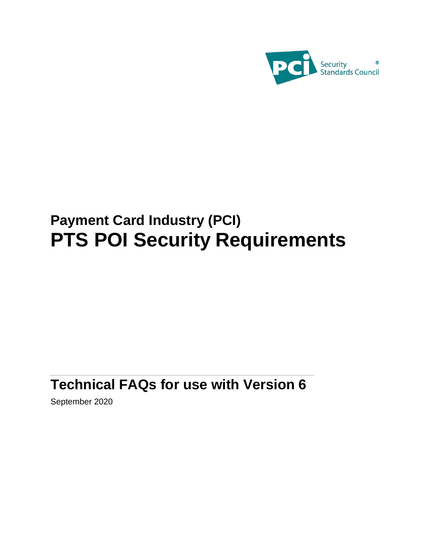

# **Payment Card Industry (PCI) PTS POI Security Requirements**

# <span id="page-0-0"></span>**Technical FAQs for use with Version 6**

September 2020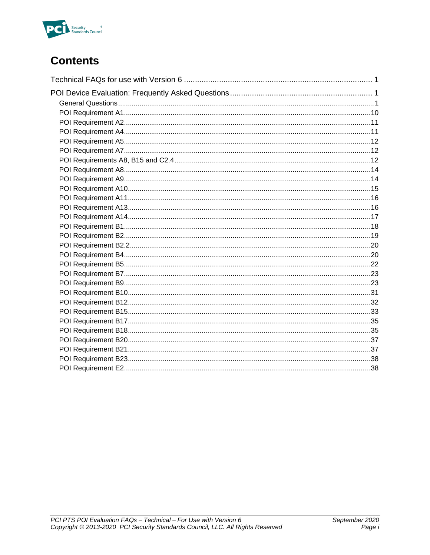

## **Contents**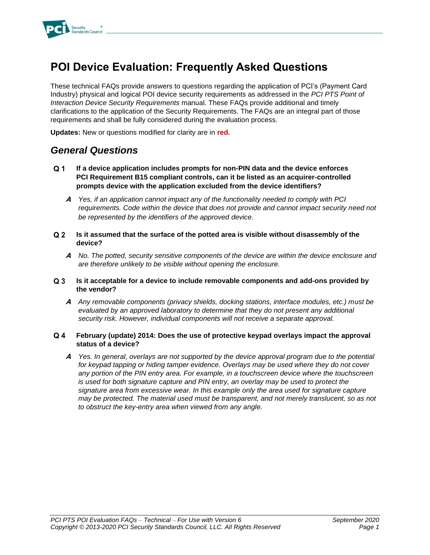

## <span id="page-2-0"></span>**POI Device Evaluation: Frequently Asked Questions**

These technical FAQs provide answers to questions regarding the application of PCI's (Payment Card Industry) physical and logical POI device security requirements as addressed in the *PCI PTS Point of Interaction Device Security Requirements* manual. These FAQs provide additional and timely clarifications to the application of the Security Requirements. The FAQs are an integral part of those requirements and shall be fully considered during the evaluation process.

**Updates:** New or questions modified for clarity are in **red.**

### <span id="page-2-1"></span>*General Questions*

- $Q<sub>1</sub>$ **If a device application includes prompts for non-PIN data and the device enforces PCI Requirement B15 compliant controls, can it be listed as an acquirer-controlled prompts device with the application excluded from the device identifiers?**
	- **A** *Yes, if an application cannot impact any of the functionality needed to comply with PCI*  requirements. Code within the device that does not provide and cannot impact security need not *be represented by the identifiers of the approved device.*
- $Q<sub>2</sub>$ **Is it assumed that the surface of the potted area is visible without disassembly of the device?**
	- **A** *No. The potted, security sensitive components of the device are within the device enclosure and are therefore unlikely to be visible without opening the enclosure.*

#### $Q<sub>3</sub>$ **Is it acceptable for a device to include removable components and add-ons provided by the vendor?**

**A** *Any removable components (privacy shields, docking stations, interface modules, etc.) must be evaluated by an approved laboratory to determine that they do not present any additional security risk. However, individual components will not receive a separate approval.* 

#### $Q_4$ **February (update) 2014: Does the use of protective keypad overlays impact the approval status of a device?**

**A** *Yes. In general, overlays are not supported by the device approval program due to the potential for keypad tapping or hiding tamper evidence. Overlays may be used where they do not cover any portion of the PIN entry area. For example, in a touchscreen device where the touchscreen is used for both signature capture and PIN entry, an overlay may be used to protect the signature area from excessive wear. In this example only the area used for signature capture may be protected. The material used must be transparent, and not merely translucent, so as not to obstruct the key-entry area when viewed from any angle.*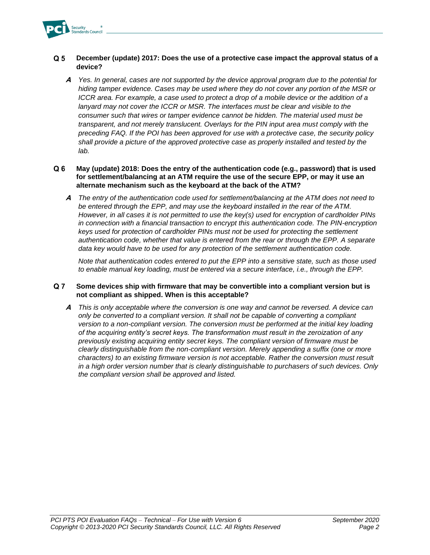

#### $Q<sub>5</sub>$ **December (update) 2017: Does the use of a protective case impact the approval status of a device?**

**A** *Yes. In general, cases are not supported by the device approval program due to the potential for hiding tamper evidence. Cases may be used where they do not cover any portion of the MSR or ICCR area. For example, a case used to protect a drop of a mobile device or the addition of a*  lanyard may not cover the ICCR or MSR. The interfaces must be clear and visible to the *consumer such that wires or tamper evidence cannot be hidden. The material used must be transparent, and not merely translucent. Overlays for the PIN input area must comply with the preceding FAQ. If the POI has been approved for use with a protective case, the security policy shall provide a picture of the approved protective case as properly installed and tested by the lab.* 

#### $Q<sub>6</sub>$ **May (update) 2018: Does the entry of the authentication code (e.g., password) that is used for settlement/balancing at an ATM require the use of the secure EPP, or may it use an alternate mechanism such as the keyboard at the back of the ATM?**

**A** *The entry of the authentication code used for settlement/balancing at the ATM does not need to be entered through the EPP, and may use the keyboard installed in the rear of the ATM. However, in all cases it is not permitted to use the key(s) used for encryption of cardholder PINs in connection with a financial transaction to encrypt this authentication code. The PIN-encryption keys used for protection of cardholder PINs must not be used for protecting the settlement authentication code, whether that value is entered from the rear or through the EPP. A separate data key would have to be used for any protection of the settlement authentication code.*

*Note that authentication codes entered to put the EPP into a sensitive state, such as those used to enable manual key loading, must be entered via a secure interface, i.e., through the EPP.* 

#### $Q<sub>7</sub>$ **Some devices ship with firmware that may be convertible into a compliant version but is not compliant as shipped. When is this acceptable?**

**A** *This is only acceptable where the conversion is one way and cannot be reversed. A device can only be converted to a compliant version. It shall not be capable of converting a compliant version to a non-compliant version. The conversion must be performed at the initial key loading of the acquiring entity's secret keys. The transformation must result in the zeroization of any previously existing acquiring entity secret keys. The compliant version of firmware must be clearly distinguishable from the non-compliant version. Merely appending a suffix (one or more characters) to an existing firmware version is not acceptable. Rather the conversion must result in a high order version number that is clearly distinguishable to purchasers of such devices. Only the compliant version shall be approved and listed.*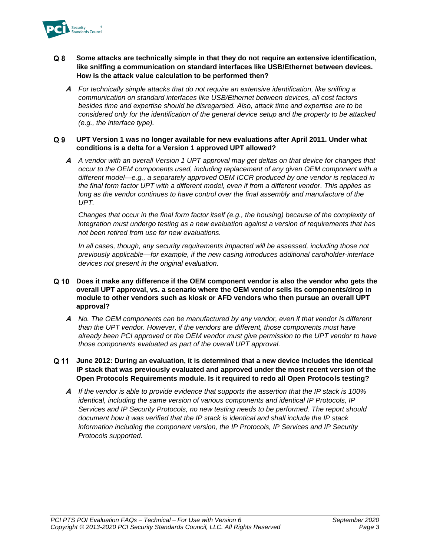

- $Q<sub>8</sub>$ **Some attacks are technically simple in that they do not require an extensive identification, like sniffing a communication on standard interfaces like USB/Ethernet between devices. How is the attack value calculation to be performed then?**
	- **A** *For technically simple attacks that do not require an extensive identification, like sniffing a communication on standard interfaces like USB/Ethernet between devices, all cost factors besides time and expertise should be disregarded. Also, attack time and expertise are to be considered only for the identification of the general device setup and the property to be attacked (e.g., the interface type).*

#### $Q<sub>9</sub>$ **UPT Version 1 was no longer available for new evaluations after April 2011. Under what conditions is a delta for a Version 1 approved UPT allowed?**

**A** *A vendor with an overall Version 1 UPT approval may get deltas on that device for changes that occur to the OEM components used, including replacement of any given OEM component with a different model—e.g., a separately approved OEM ICCR produced by one vendor is replaced in the final form factor UPT with a different model, even if from a different vendor. This applies as long as the vendor continues to have control over the final assembly and manufacture of the UPT.*

*Changes that occur in the final form factor itself (e.g., the housing) because of the complexity of integration must undergo testing as a new evaluation against a version of requirements that has not been retired from use for new evaluations.* 

*In all cases, though, any security requirements impacted will be assessed, including those not previously applicable—for example, if the new casing introduces additional cardholder-interface devices not present in the original evaluation.* 

- Q 10 **Does it make any difference if the OEM component vendor is also the vendor who gets the overall UPT approval, vs. a scenario where the OEM vendor sells its components/drop in module to other vendors such as kiosk or AFD vendors who then pursue an overall UPT approval?**
	- **A** *No. The OEM components can be manufactured by any vendor, even if that vendor is different than the UPT vendor. However, if the vendors are different, those components must have already been PCI approved or the OEM vendor must give permission to the UPT vendor to have those components evaluated as part of the overall UPT approval.*
- **June 2012: During an evaluation, it is determined that a new device includes the identical IP stack that was previously evaluated and approved under the most recent version of the Open Protocols Requirements module. Is it required to redo all Open Protocols testing?**
	- **A** *If the vendor is able to provide evidence that supports the assertion that the IP stack is 100% identical, including the same version of various components and identical IP Protocols, IP Services and IP Security Protocols, no new testing needs to be performed. The report should document how it was verified that the IP stack is identical and shall include the IP stack information including the component version, the IP Protocols, IP Services and IP Security Protocols supported.*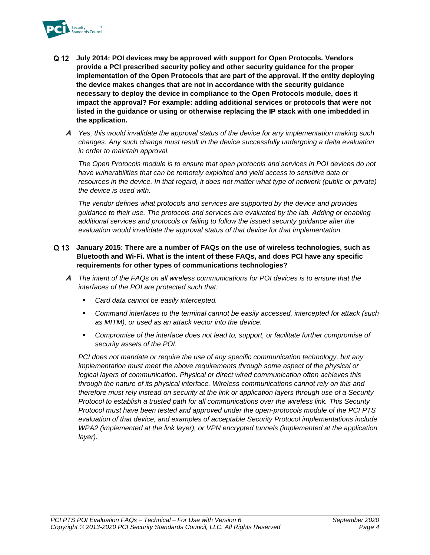

- **July 2014: POI devices may be approved with support for Open Protocols. Vendors provide a PCI prescribed security policy and other security guidance for the proper implementation of the Open Protocols that are part of the approval. If the entity deploying the device makes changes that are not in accordance with the security guidance necessary to deploy the device in compliance to the Open Protocols module, does it impact the approval? For example: adding additional services or protocols that were not listed in the guidance or using or otherwise replacing the IP stack with one imbedded in the application.**
	- **A** *Yes, this would invalidate the approval status of the device for any implementation making such changes. Any such change must result in the device successfully undergoing a delta evaluation in order to maintain approval.*

*The Open Protocols module is to ensure that open protocols and services in POI devices do not have vulnerabilities that can be remotely exploited and yield access to sensitive data or resources in the device. In that regard, it does not matter what type of network (public or private) the device is used with.*

*The vendor defines what protocols and services are supported by the device and provides guidance to their use. The protocols and services are evaluated by the lab. Adding or enabling additional services and protocols or failing to follow the issued security guidance after the evaluation would invalidate the approval status of that device for that implementation.*

### **January 2015: There are a number of FAQs on the use of wireless technologies, such as Bluetooth and Wi-Fi. What is the intent of these FAQs, and does PCI have any specific requirements for other types of communications technologies?**

- **A** *The intent of the FAQs on all wireless communications for POI devices is to ensure that the interfaces of the POI are protected such that:*
	- *Card data cannot be easily intercepted.*
	- *Command interfaces to the terminal cannot be easily accessed, intercepted for attack (such as MITM), or used as an attack vector into the device.*
	- *Compromise of the interface does not lead to, support, or facilitate further compromise of security assets of the POI.*

*PCI does not mandate or require the use of any specific communication technology, but any implementation must meet the above requirements through some aspect of the physical or logical layers of communication. Physical or direct wired communication often achieves this through the nature of its physical interface. Wireless communications cannot rely on this and therefore must rely instead on security at the link or application layers through use of a Security Protocol to establish a trusted path for all communications over the wireless link. This Security Protocol must have been tested and approved under the open-protocols module of the PCI PTS evaluation of that device, and examples of acceptable Security Protocol implementations include WPA2 (implemented at the link layer), or VPN encrypted tunnels (implemented at the application layer).*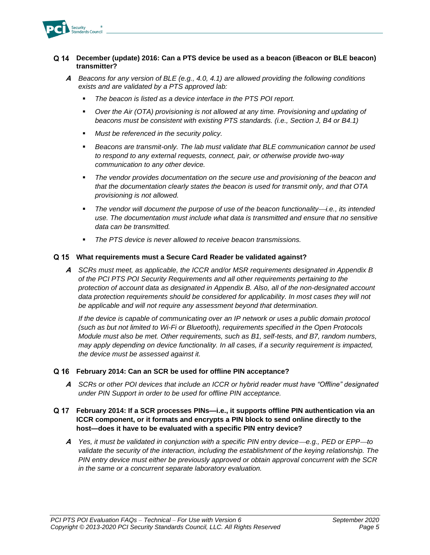

### **December (update) 2016: Can a PTS device be used as a beacon (iBeacon or BLE beacon) transmitter?**

- **A** *Beacons for any version of BLE (e.g., 4.0, 4.1) are allowed providing the following conditions exists and are validated by a PTS approved lab:*
	- The beacon is listed as a device interface in the PTS POI report.
	- *Over the Air (OTA) provisioning is not allowed at any time. Provisioning and updating of beacons must be consistent with existing PTS standards. (i.e., Section J, B4 or B4.1)*
	- *Must be referenced in the security policy.*
	- Beacons are transmit-only. The lab must validate that BLE communication cannot be used *to respond to any external requests, connect, pair, or otherwise provide two-way communication to any other device.*
	- The vendor provides documentation on the secure use and provisioning of the beacon and *that the documentation clearly states the beacon is used for transmit only, and that OTA provisioning is not allowed.*
	- The vendor will document the purpose of use of the beacon functionality—*i.e.*, its intended *use. The documentation must include what data is transmitted and ensure that no sensitive data can be transmitted.*
	- The PTS device is never allowed to receive beacon transmissions.

### **What requirements must a Secure Card Reader be validated against?**

**A** *SCRs must meet, as applicable, the ICCR and/or MSR requirements designated in Appendix B of the PCI PTS POI Security Requirements and all other requirements pertaining to the protection of account data as designated in Appendix B. Also, all of the non-designated account data protection requirements should be considered for applicability. In most cases they will not be applicable and will not require any assessment beyond that determination.*

*If the device is capable of communicating over an IP network or uses a public domain protocol (such as but not limited to Wi-Fi or Bluetooth), requirements specified in the Open Protocols Module must also be met. Other requirements, such as B1, self-tests, and B7, random numbers, may apply depending on device functionality. In all cases, if a security requirement is impacted, the device must be assessed against it.*

### **February 2014: Can an SCR be used for offline PIN acceptance?**

**A** *SCRs or other POI devices that include an ICCR or hybrid reader must have "Offline" designated under PIN Support in order to be used for offline PIN acceptance.*

### **February 2014: If a SCR processes PINs—i.e., it supports offline PIN authentication via an ICCR component, or it formats and encrypts a PIN block to send online directly to the host—does it have to be evaluated with a specific PIN entry device?**

**A** Yes, it must be validated in conjunction with a specific PIN entry device—e.g., PED or EPP—to *validate the security of the interaction, including the establishment of the keying relationship. The PIN entry device must either be previously approved or obtain approval concurrent with the SCR in the same or a concurrent separate laboratory evaluation.*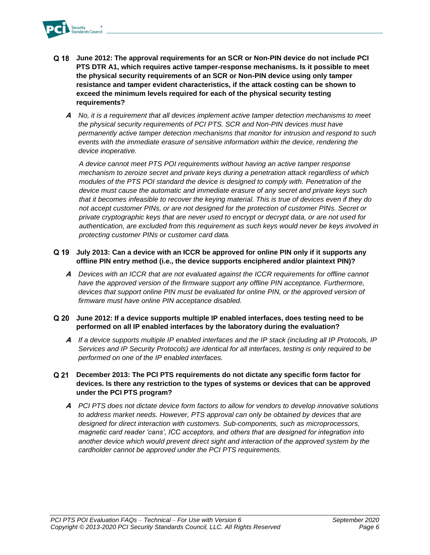

- **June 2012: The approval requirements for an SCR or Non-PIN device do not include PCI PTS DTR A1, which requires active tamper-response mechanisms. Is it possible to meet the physical security requirements of an SCR or Non-PIN device using only tamper resistance and tamper evident characteristics, if the attack costing can be shown to exceed the minimum levels required for each of the physical security testing requirements?**
	- **A** *No, it is a requirement that all devices implement active tamper detection mechanisms to meet the physical security requirements of PCI PTS. SCR and Non-PIN devices must have permanently active tamper detection mechanisms that monitor for intrusion and respond to such events with the immediate erasure of sensitive information within the device, rendering the device inoperative.*

*A device cannot meet PTS POI requirements without having an active tamper response mechanism to zeroize secret and private keys during a penetration attack regardless of which modules of the PTS POI standard the device is designed to comply with. Penetration of the device must cause the automatic and immediate erasure of any secret and private keys such that it becomes infeasible to recover the keying material. This is true of devices even if they do not accept customer PINs, or are not designed for the protection of customer PINs. Secret or private cryptographic keys that are never used to encrypt or decrypt data, or are not used for authentication, are excluded from this requirement as such keys would never be keys involved in protecting customer PINs or customer card data.*

### **July 2013: Can a device with an ICCR be approved for online PIN only if it supports any offline PIN entry method (i.e., the device supports enciphered and/or plaintext PIN)?**

**A** *Devices with an ICCR that are not evaluated against the ICCR requirements for offline cannot*  have the approved version of the firmware support any offline PIN acceptance. Furthermore, devices that support online PIN must be evaluated for online PIN, or the approved version of *firmware must have online PIN acceptance disabled.*

### **June 2012: If a device supports multiple IP enabled interfaces, does testing need to be performed on all IP enabled interfaces by the laboratory during the evaluation?**

**A** *If a device supports multiple IP enabled interfaces and the IP stack (including all IP Protocols, IP Services and IP Security Protocols) are identical for all interfaces, testing is only required to be performed on one of the IP enabled interfaces.*

### **December 2013: The PCI PTS requirements do not dictate any specific form factor for devices. Is there any restriction to the types of systems or devices that can be approved under the PCI PTS program?**

**A** *PCI PTS does not dictate device form factors to allow for vendors to develop innovative solutions to address market needs. However, PTS approval can only be obtained by devices that are designed for direct interaction with customers. Sub-components, such as microprocessors, magnetic card reader 'cans', ICC acceptors, and others that are designed for integration into another device which would prevent direct sight and interaction of the approved system by the cardholder cannot be approved under the PCI PTS requirements.*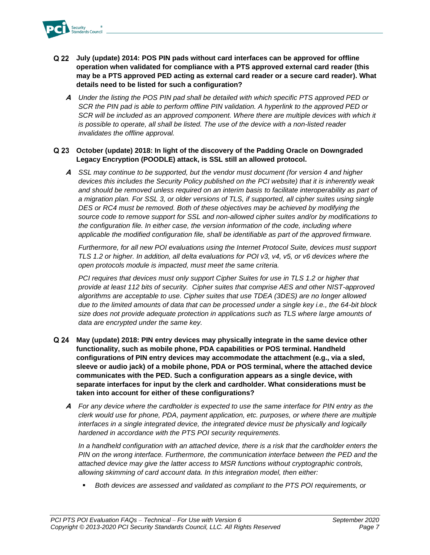

- **July (update) 2014: POS PIN pads without card interfaces can be approved for offline operation when validated for compliance with a PTS approved external card reader (this may be a PTS approved PED acting as external card reader or a secure card reader). What details need to be listed for such a configuration?**
	- **A** *Under the listing the POS PIN pad shall be detailed with which specific PTS approved PED or SCR the PIN pad is able to perform offline PIN validation. A hyperlink to the approved PED or*  SCR will be included as an approved component. Where there are multiple devices with which it *is possible to operate, all shall be listed. The use of the device with a non-listed reader invalidates the offline approval.*

### **October (update) 2018: In light of the discovery of the Padding Oracle on Downgraded Legacy Encryption (POODLE) attack, is SSL still an allowed protocol.**

**A** *SSL may continue to be supported, but the vendor must document (for version 4 and higher devices this includes the Security Policy published on the PCI website) that it is inherently weak and should be removed unless required on an interim basis to facilitate interoperability as part of a migration plan. For SSL 3, or older versions of TLS, if supported, all cipher suites using single DES or RC4 must be removed. Both of these objectives may be achieved by modifying the source code to remove support for SSL and non-allowed cipher suites and/or by modifications to the configuration file. In either case, the version information of the code, including where applicable the modified configuration file, shall be identifiable as part of the approved firmware.*

*Furthermore, for all new POI evaluations using the Internet Protocol Suite, devices must support TLS 1.2 or higher. In addition, all delta evaluations for POI v3, v4, v5, or v6 devices where the open protocols module is impacted, must meet the same criteria.* 

*PCI requires that devices must only support Cipher Suites for use in TLS 1.2 or higher that provide at least 112 bits of security. Cipher suites that comprise AES and other NIST-approved algorithms are acceptable to use. Cipher suites that use TDEA (3DES) are no longer allowed due to the limited amounts of data that can be processed under a single key i.e., the 64-bit block size does not provide adequate protection in applications such as TLS where large amounts of data are encrypted under the same key.*

- **May (update) 2018: PIN entry devices may physically integrate in the same device other functionality, such as mobile phone, PDA capabilities or POS terminal. Handheld configurations of PIN entry devices may accommodate the attachment (e.g., via a sled, sleeve or audio jack) of a mobile phone, PDA or POS terminal, where the attached device communicates with the PED. Such a configuration appears as a single device, with separate interfaces for input by the clerk and cardholder. What considerations must be taken into account for either of these configurations?**
	- **A** *For any device where the cardholder is expected to use the same interface for PIN entry as the clerk would use for phone, PDA, payment application, etc. purposes, or where there are multiple interfaces in a single integrated device, the integrated device must be physically and logically hardened in accordance with the PTS POI security requirements.*

*In a handheld configuration with an attached device, there is a risk that the cardholder enters the*  PIN on the wrong interface. Furthermore, the communication interface between the PED and the *attached device may give the latter access to MSR functions without cryptographic controls, allowing skimming of card account data. In this integration model, then either:*

▪ *Both devices are assessed and validated as compliant to the PTS POI requirements, or*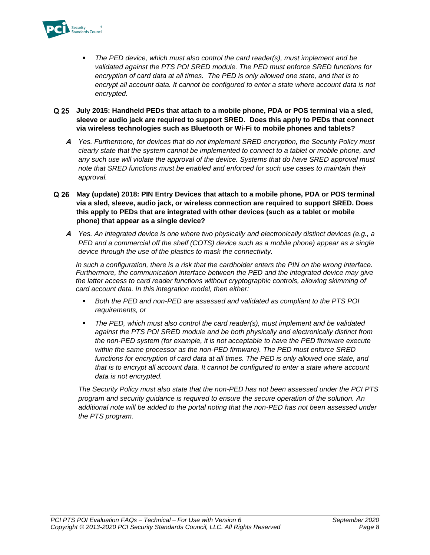

- The PED device, which must also control the card reader(s), must implement and be *validated against the PTS POI SRED module. The PED must enforce SRED functions for encryption of card data at all times. The PED is only allowed one state, and that is to encrypt all account data. It cannot be configured to enter a state where account data is not encrypted.*
- **July 2015: Handheld PEDs that attach to a mobile phone, PDA or POS terminal via a sled, sleeve or audio jack are required to support SRED. Does this apply to PEDs that connect via wireless technologies such as Bluetooth or Wi-Fi to mobile phones and tablets?**
	- **A** *Yes. Furthermore, for devices that do not implement SRED encryption, the Security Policy must clearly state that the system cannot be implemented to connect to a tablet or mobile phone, and any such use will violate the approval of the device. Systems that do have SRED approval must note that SRED functions must be enabled and enforced for such use cases to maintain their approval.*
- **May (update) 2018: PIN Entry Devices that attach to a mobile phone, PDA or POS terminal via a sled, sleeve, audio jack, or wireless connection are required to support SRED. Does this apply to PEDs that are integrated with other devices (such as a tablet or mobile phone) that appear as a single device?** 
	- **A** *Yes. An integrated device is one where two physically and electronically distinct devices (e.g., a PED and a commercial off the shelf (COTS) device such as a mobile phone) appear as a single device through the use of the plastics to mask the connectivity.*

*In such a configuration, there is a risk that the cardholder enters the PIN on the wrong interface. Furthermore, the communication interface between the PED and the integrated device may give the latter access to card reader functions without cryptographic controls, allowing skimming of card account data. In this integration model, then either:*

- *Both the PED and non-PED are assessed and validated as compliant to the PTS POI requirements, or*
- *The PED, which must also control the card reader(s), must implement and be validated against the PTS POI SRED module and be both physically and electronically distinct from the non-PED system (for example, it is not acceptable to have the PED firmware execute within the same processor as the non-PED firmware). The PED must enforce SRED functions for encryption of card data at all times. The PED is only allowed one state, and that is to encrypt all account data. It cannot be configured to enter a state where account data is not encrypted.*

*The Security Policy must also state that the non-PED has not been assessed under the PCI PTS program and security guidance is required to ensure the secure operation of the solution. An additional note will be added to the portal noting that the non-PED has not been assessed under the PTS program.*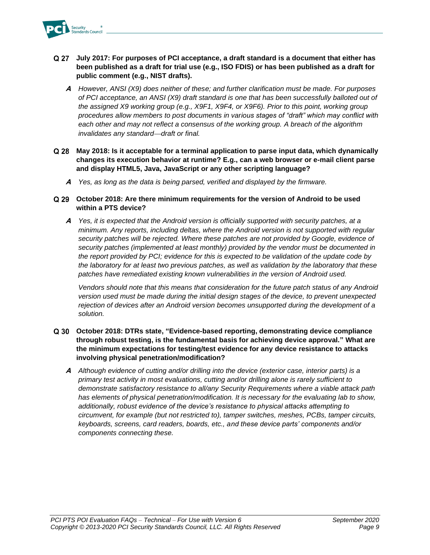

- **July 2017: For purposes of PCI acceptance, a draft standard is a document that either has been published as a draft for trial use (e.g., ISO FDIS) or has been published as a draft for public comment (e.g., NIST drafts).**
	- **A** *However, ANSI (X9) does neither of these; and further clarification must be made. For purposes of PCI acceptance, an ANSI (X9) draft standard is one that has been successfully balloted out of the assigned X9 working group (e.g., X9F1, X9F4, or X9F6). Prior to this point, working group procedures allow members to post documents in various stages of "draft" which may conflict with each other and may not reflect a consensus of the working group. A breach of the algorithm invalidates any standard*⎯*draft or final.*
- **May 2018: Is it acceptable for a terminal application to parse input data, which dynamically changes its execution behavior at runtime? E.g., can a web browser or e-mail client parse and display HTML5, Java, JavaScript or any other scripting language?**
	- **A** *Yes, as long as the data is being parsed, verified and displayed by the firmware.*
- **October 2018: Are there minimum requirements for the version of Android to be used within a PTS device?**
	- **A** *Yes, it is expected that the Android version is officially supported with security patches, at a minimum. Any reports, including deltas, where the Android version is not supported with regular security patches will be rejected. Where these patches are not provided by Google, evidence of security patches (implemented at least monthly) provided by the vendor must be documented in the report provided by PCI; evidence for this is expected to be validation of the update code by the laboratory for at least two previous patches, as well as validation by the laboratory that these patches have remediated existing known vulnerabilities in the version of Android used.*

*Vendors should note that this means that consideration for the future patch status of any Android version used must be made during the initial design stages of the device, to prevent unexpected rejection of devices after an Android version becomes unsupported during the development of a solution.*

- **October 2018: DTRs state, "Evidence-based reporting, demonstrating device compliance through robust testing, is the fundamental basis for achieving device approval." What are the minimum expectations for testing/test evidence for any device resistance to attacks involving physical penetration/modification?**
	- **A** *Although evidence of cutting and/or drilling into the device (exterior case, interior parts) is a primary test activity in most evaluations, cutting and/or drilling alone is rarely sufficient to demonstrate satisfactory resistance to all/any Security Requirements where a viable attack path has elements of physical penetration/modification. It is necessary for the evaluating lab to show, additionally, robust evidence of the device's resistance to physical attacks attempting to circumvent, for example (but not restricted to), tamper switches, meshes, PCBs, tamper circuits, keyboards, screens, card readers, boards, etc., and these device parts' components and/or components connecting these.*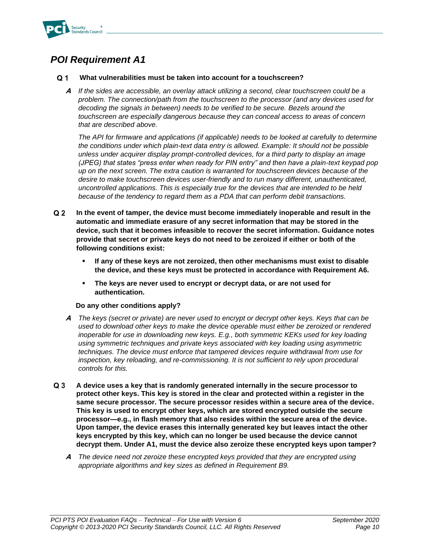

#### <span id="page-11-0"></span> $Q<sub>1</sub>$ **What vulnerabilities must be taken into account for a touchscreen?**

**A** *If the sides are accessible, an overlay attack utilizing a second, clear touchscreen could be a problem. The connection/path from the touchscreen to the processor (and any devices used for decoding the signals in between) needs to be verified to be secure. Bezels around the touchscreen are especially dangerous because they can conceal access to areas of concern that are described above.* 

*The API for firmware and applications (if applicable) needs to be looked at carefully to determine the conditions under which plain-text data entry is allowed. Example: It should not be possible unless under acquirer display prompt-controlled devices, for a third party to display an image (JPEG) that states "press enter when ready for PIN entry" and then have a plain-text keypad pop up on the next screen. The extra caution is warranted for touchscreen devices because of the desire to make touchscreen devices user-friendly and to run many different, unauthenticated, uncontrolled applications. This is especially true for the devices that are intended to be held because of the tendency to regard them as a PDA that can perform debit transactions.*

- $Q<sub>2</sub>$ **In the event of tamper, the device must become immediately inoperable and result in the automatic and immediate erasure of any secret information that may be stored in the device, such that it becomes infeasible to recover the secret information. Guidance notes provide that secret or private keys do not need to be zeroized if either or both of the following conditions exist:**
	- If any of these keys are not zeroized, then other mechanisms must exist to disable **the device, and these keys must be protected in accordance with Requirement A6.**
	- The keys are never used to encrypt or decrypt data, or are not used for **authentication.**

### **Do any other conditions apply?**

- **A** *The keys (secret or private) are never used to encrypt or decrypt other keys. Keys that can be used to download other keys to make the device operable must either be zeroized or rendered inoperable for use in downloading new keys. E.g., both symmetric KEKs used for key loading using symmetric techniques and private keys associated with key loading using asymmetric techniques. The device must enforce that tampered devices require withdrawal from use for inspection, key reloading, and re-commissioning. It is not sufficient to rely upon procedural controls for this.*
- $Q_3$ **A device uses a key that is randomly generated internally in the secure processor to protect other keys. This key is stored in the clear and protected within a register in the same secure processor. The secure processor resides within a secure area of the device. This key is used to encrypt other keys, which are stored encrypted outside the secure processor—e.g., in flash memory that also resides within the secure area of the device. Upon tamper, the device erases this internally generated key but leaves intact the other keys encrypted by this key, which can no longer be used because the device cannot decrypt them. Under A1, must the device also zeroize these encrypted keys upon tamper?**
	- **A** *The device need not zeroize these encrypted keys provided that they are encrypted using appropriate algorithms and key sizes as defined in Requirement B9.*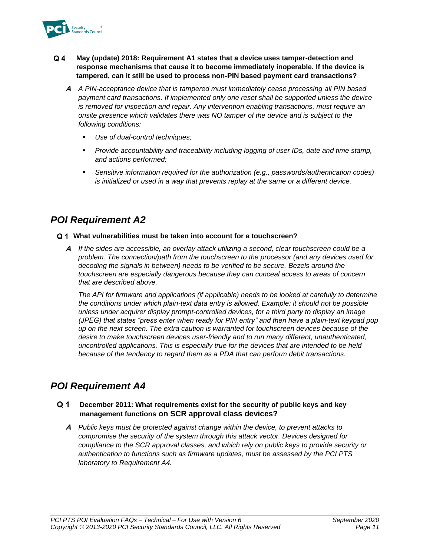

- $Q<sub>4</sub>$ **May (update) 2018: Requirement A1 states that a device uses tamper-detection and response mechanisms that cause it to become immediately inoperable. If the device is tampered, can it still be used to process non-PIN based payment card transactions?**
	- **A** *A PIN-acceptance device that is tampered must immediately cease processing all PIN based payment card transactions. If implemented only one reset shall be supported unless the device is removed for inspection and repair. Any intervention enabling transactions, must require an onsite presence which validates there was NO tamper of the device and is subject to the following conditions:*
		- Use of dual-control techniques;
		- *Provide accountability and traceability including logging of user IDs, date and time stamp, and actions performed;*
		- Sensitive information required for the authorization (e.g., passwords/authentication codes) *is initialized or used in a way that prevents replay at the same or a different device.*

### <span id="page-12-0"></span>**What vulnerabilities must be taken into account for a touchscreen?**

**A** *If the sides are accessible, an overlay attack utilizing a second, clear touchscreen could be a problem. The connection/path from the touchscreen to the processor (and any devices used for decoding the signals in between) needs to be verified to be secure. Bezels around the touchscreen are especially dangerous because they can conceal access to areas of concern that are described above.* 

*The API for firmware and applications (if applicable) needs to be looked at carefully to determine the conditions under which plain-text data entry is allowed. Example: it should not be possible unless under acquirer display prompt-controlled devices, for a third party to display an image (JPEG) that states "press enter when ready for PIN entry" and then have a plain-text keypad pop up on the next screen. The extra caution is warranted for touchscreen devices because of the desire to make touchscreen devices user-friendly and to run many different, unauthenticated, uncontrolled applications. This is especially true for the devices that are intended to be held because of the tendency to regard them as a PDA that can perform debit transactions.*

### <span id="page-12-1"></span>*POI Requirement A4*

#### Q 1 **December 2011: What requirements exist for the security of public keys and key management functions on SCR approval class devices?**

**A** *Public keys must be protected against change within the device, to prevent attacks to compromise the security of the system through this attack vector. Devices designed for compliance to the SCR approval classes, and which rely on public keys to provide security or authentication to functions such as firmware updates, must be assessed by the PCI PTS laboratory to Requirement A4.*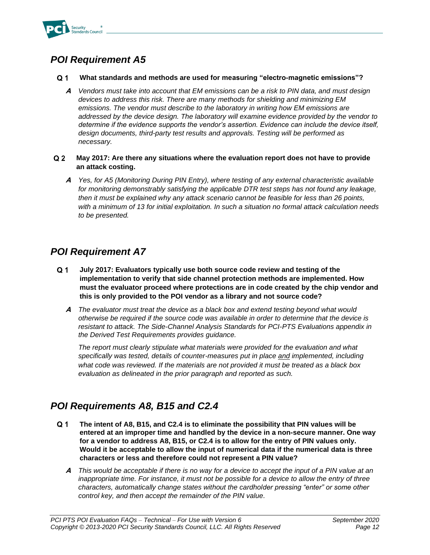

#### <span id="page-13-0"></span> $Q<sub>1</sub>$ **What standards and methods are used for measuring "electro-magnetic emissions"?**

**A** *Vendors must take into account that EM emissions can be a risk to PIN data, and must design devices to address this risk. There are many methods for shielding and minimizing EM emissions. The vendor must describe to the laboratory in writing how EM emissions are addressed by the device design. The laboratory will examine evidence provided by the vendor to determine if the evidence supports the vendor's assertion. Evidence can include the device itself, design documents, third-party test results and approvals. Testing will be performed as necessary.*

#### $Q<sub>2</sub>$ **May 2017: Are there any situations where the evaluation report does not have to provide an attack costing.**

**A** *Yes, for A5 (Monitoring During PIN Entry), where testing of any external characteristic available*  for monitoring demonstrably satisfying the applicable DTR test steps has not found any leakage, *then it must be explained why any attack scenario cannot be feasible for less than 26 points, with a minimum of 13 for initial exploitation. In such a situation no formal attack calculation needs to be presented.*

### <span id="page-13-1"></span>*POI Requirement A7*

- $Q<sub>1</sub>$ **July 2017: Evaluators typically use both source code review and testing of the implementation to verify that side channel protection methods are implemented. How must the evaluator proceed where protections are in code created by the chip vendor and this is only provided to the POI vendor as a library and not source code?**
	- **A** *The evaluator must treat the device as a black box and extend testing beyond what would otherwise be required if the source code was available in order to determine that the device is resistant to attack. The Side-Channel Analysis Standards for PCI-PTS Evaluations appendix in the Derived Test Requirements provides guidance.*

*The report must clearly stipulate what materials were provided for the evaluation and what specifically was tested, details of counter-measures put in place and implemented, including what code was reviewed. If the materials are not provided it must be treated as a black box evaluation as delineated in the prior paragraph and reported as such.*

### <span id="page-13-2"></span>*POI Requirements A8, B15 and C2.4*

- $Q<sub>1</sub>$ **The intent of A8, B15, and C2.4 is to eliminate the possibility that PIN values will be entered at an improper time and handled by the device in a non-secure manner. One way for a vendor to address A8, B15, or C2.4 is to allow for the entry of PIN values only. Would it be acceptable to allow the input of numerical data if the numerical data is three characters or less and therefore could not represent a PIN value?**
	- **A** *This would be acceptable if there is no way for a device to accept the input of a PIN value at an inappropriate time. For instance, it must not be possible for a device to allow the entry of three characters, automatically change states without the cardholder pressing "enter" or some other control key, and then accept the remainder of the PIN value.*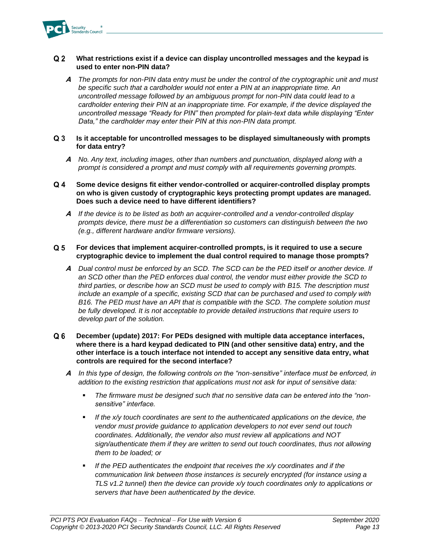

#### $Q<sub>2</sub>$ **What restrictions exist if a device can display uncontrolled messages and the keypad is used to enter non-PIN data?**

- **A** *The prompts for non-PIN data entry must be under the control of the cryptographic unit and must be specific such that a cardholder would not enter a PIN at an inappropriate time. An uncontrolled message followed by an ambiguous prompt for non-PIN data could lead to a cardholder entering their PIN at an inappropriate time. For example, if the device displayed the uncontrolled message "Ready for PIN" then prompted for plain-text data while displaying "Enter Data," the cardholder may enter their PIN at this non-PIN data prompt.*
- $Q3$ **Is it acceptable for uncontrolled messages to be displayed simultaneously with prompts for data entry?**
	- **A** *No. Any text, including images, other than numbers and punctuation, displayed along with a prompt is considered a prompt and must comply with all requirements governing prompts.*
- $Q_4$ **Some device designs fit either vendor-controlled or acquirer-controlled display prompts on who is given custody of cryptographic keys protecting prompt updates are managed. Does such a device need to have different identifiers?**
	- **A** *If the device is to be listed as both an acquirer-controlled and a vendor-controlled display prompts device, there must be a differentiation so customers can distinguish between the two (e.g., different hardware and/or firmware versions).*

#### $Q<sub>5</sub>$ **For devices that implement acquirer-controlled prompts, is it required to use a secure cryptographic device to implement the dual control required to manage those prompts?**

- **A** *Dual control must be enforced by an SCD. The SCD can be the PED itself or another device. If an SCD other than the PED enforces dual control, the vendor must either provide the SCD to third parties, or describe how an SCD must be used to comply with B15. The description must include an example of a specific, existing SCD that can be purchased and used to comply with B16. The PED must have an API that is compatible with the SCD. The complete solution must be fully developed. It is not acceptable to provide detailed instructions that require users to develop part of the solution.*
- $Q<sub>6</sub>$ **December (update) 2017: For PEDs designed with multiple data acceptance interfaces, where there is a hard keypad dedicated to PIN (and other sensitive data) entry, and the other interface is a touch interface not intended to accept any sensitive data entry, what controls are required for the second interface?**
	- **A** *In this type of design, the following controls on the "non-sensitive" interface must be enforced, in addition to the existing restriction that applications must not ask for input of sensitive data:*
		- *The firmware must be designed such that no sensitive data can be entered into the "nonsensitive" interface.*
		- **■** If the x/y touch coordinates are sent to the authenticated applications on the device, the *vendor must provide guidance to application developers to not ever send out touch coordinates. Additionally, the vendor also must review all applications and NOT sign/authenticate them if they are written to send out touch coordinates, thus not allowing them to be loaded; or*
		- If the PED authenticates the endpoint that receives the x/y coordinates and if the *communication link between those instances is securely encrypted (for instance using a TLS v1.2 tunnel) then the device can provide x/y touch coordinates only to applications or servers that have been authenticated by the device.*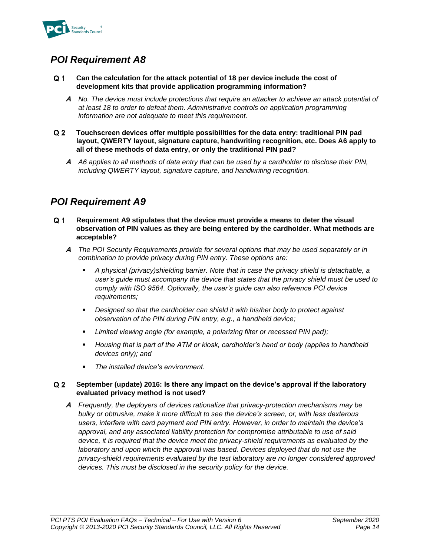

- <span id="page-15-0"></span> $Q<sub>1</sub>$ **Can the calculation for the attack potential of 18 per device include the cost of development kits that provide application programming information?**
	- **A** *No. The device must include protections that require an attacker to achieve an attack potential of at least 18 to order to defeat them. Administrative controls on application programming information are not adequate to meet this requirement.*
- $Q<sub>2</sub>$ **Touchscreen devices offer multiple possibilities for the data entry: traditional PIN pad layout, QWERTY layout, signature capture, handwriting recognition, etc. Does A6 apply to all of these methods of data entry, or only the traditional PIN pad?**
	- **A** *A6 applies to all methods of data entry that can be used by a cardholder to disclose their PIN, including QWERTY layout, signature capture, and handwriting recognition.*

### <span id="page-15-1"></span>*POI Requirement A9*

- $Q<sub>1</sub>$ **Requirement A9 stipulates that the device must provide a means to deter the visual observation of PIN values as they are being entered by the cardholder. What methods are acceptable?**
	- **A** *The POI Security Requirements provide for several options that may be used separately or in combination to provide privacy during PIN entry. These options are:*
		- *A physical (privacy)shielding barrier. Note that in case the privacy shield is detachable, a user's guide must accompany the device that states that the privacy shield must be used to comply with ISO 9564. Optionally, the user's guide can also reference PCI device requirements;*
		- *Designed so that the cardholder can shield it with his/her body to protect against observation of the PIN during PIN entry, e.g., a handheld device;*
		- Limited viewing angle (for example, a polarizing filter or recessed PIN pad);
		- *Housing that is part of the ATM or kiosk, cardholder's hand or body (applies to handheld devices only); and*
		- *The installed device's environment.*

#### $Q<sub>2</sub>$ **September (update) 2016: Is there any impact on the device's approval if the laboratory evaluated privacy method is not used?**

**A** *Frequently, the deployers of devices rationalize that privacy-protection mechanisms may be bulky or obtrusive, make it more difficult to see the device's screen, or, with less dexterous users, interfere with card payment and PIN entry. However, in order to maintain the device's approval, and any associated liability protection for compromise attributable to use of said device, it is required that the device meet the privacy-shield requirements as evaluated by the laboratory and upon which the approval was based. Devices deployed that do not use the privacy-shield requirements evaluated by the test laboratory are no longer considered approved devices. This must be disclosed in the security policy for the device.*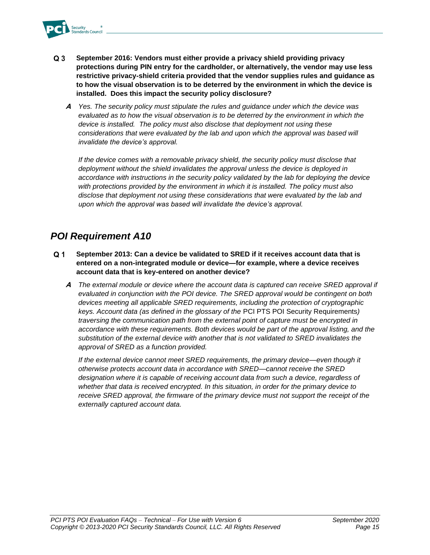

- $Q<sub>3</sub>$ **September 2016: Vendors must either provide a privacy shield providing privacy protections during PIN entry for the cardholder, or alternatively, the vendor may use less restrictive privacy-shield criteria provided that the vendor supplies rules and guidance as to how the visual observation is to be deterred by the environment in which the device is installed. Does this impact the security policy disclosure?**
	- **A** *Yes. The security policy must stipulate the rules and guidance under which the device was evaluated as to how the visual observation is to be deterred by the environment in which the device is installed. The policy must also disclose that deployment not using these considerations that were evaluated by the lab and upon which the approval was based will invalidate the device's approval.*

*If the device comes with a removable privacy shield, the security policy must disclose that deployment without the shield invalidates the approval unless the device is deployed in accordance with instructions in the security policy validated by the lab for deploying the device with protections provided by the environment in which it is installed. The policy must also disclose that deployment not using these considerations that were evaluated by the lab and upon which the approval was based will invalidate the device's approval.*

### <span id="page-16-0"></span>*POI Requirement A10*

- $Q<sub>1</sub>$ **September 2013: Can a device be validated to SRED if it receives account data that is entered on a non-integrated module or device—for example, where a device receives account data that is key-entered on another device?**
	- **A** *The external module or device where the account data is captured can receive SRED approval if evaluated in conjunction with the POI device. The SRED approval would be contingent on both devices meeting all applicable SRED requirements, including the protection of cryptographic keys. Account data (as defined in the glossary of the* PCI PTS POI Security Requirements*) traversing the communication path from the external point of capture must be encrypted in accordance with these requirements. Both devices would be part of the approval listing, and the substitution of the external device with another that is not validated to SRED invalidates the approval of SRED as a function provided.*

*If the external device cannot meet SRED requirements, the primary device—even though it otherwise protects account data in accordance with SRED—cannot receive the SRED*  designation where it is capable of receiving account data from such a device, regardless of *whether that data is received encrypted. In this situation, in order for the primary device to receive SRED approval, the firmware of the primary device must not support the receipt of the externally captured account data.*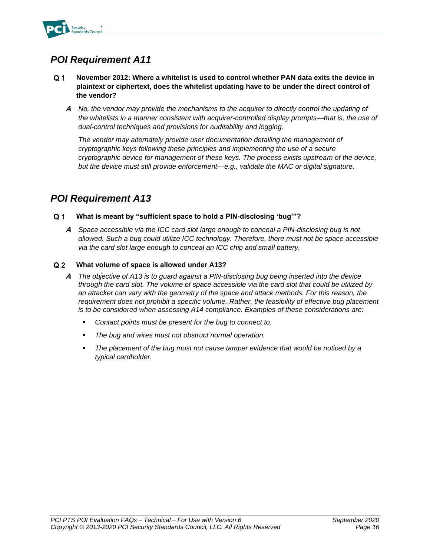

- <span id="page-17-0"></span> $Q<sub>1</sub>$ **November 2012: Where a whitelist is used to control whether PAN data exits the device in plaintext or ciphertext, does the whitelist updating have to be under the direct control of the vendor?**
	- **A** *No, the vendor may provide the mechanisms to the acquirer to directly control the updating of the whitelists in a manner consistent with acquirer-controlled display prompts—that is, the use of dual-control techniques and provisions for auditability and logging.*

*The vendor may alternately provide user documentation detailing the management of cryptographic keys following these principles and implementing the use of a secure cryptographic device for management of these keys. The process exists upstream of the device, but the device must still provide enforcement—e.g., validate the MAC or digital signature.*

### <span id="page-17-1"></span>*POI Requirement A13*

#### $Q<sub>1</sub>$ **What is meant by "sufficient space to hold a PIN-disclosing 'bug'"?**

**A** *Space accessible via the ICC card slot large enough to conceal a PIN-disclosing bug is not allowed. Such a bug could utilize ICC technology. Therefore, there must not be space accessible via the card slot large enough to conceal an ICC chip and small battery.*

#### $Q<sub>2</sub>$ **What volume of space is allowed under A13?**

- **A** *The objective of A13 is to guard against a PIN-disclosing bug being inserted into the device through the card slot. The volume of space accessible via the card slot that could be utilized by an attacker can vary with the geometry of the space and attack methods. For this reason, the requirement does not prohibit a specific volume. Rather, the feasibility of effective bug placement is to be considered when assessing A14 compliance. Examples of these considerations are:* 
	- Contact points must be present for the bug to connect to.
	- *The bug and wires must not obstruct normal operation.*
	- The placement of the bug must not cause tamper evidence that would be noticed by a *typical cardholder.*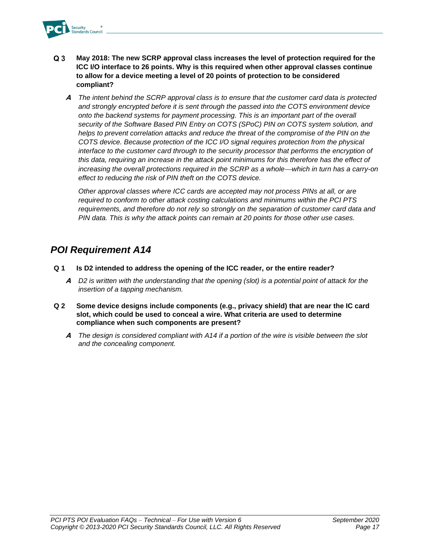

- $Q<sub>3</sub>$ **May 2018: The new SCRP approval class increases the level of protection required for the ICC I/O interface to 26 points. Why is this required when other approval classes continue to allow for a device meeting a level of 20 points of protection to be considered compliant?**
	- **A** *The intent behind the SCRP approval class is to ensure that the customer card data is protected and strongly encrypted before it is sent through the passed into the COTS environment device onto the backend systems for payment processing. This is an important part of the overall security of the Software Based PIN Entry on COTS (SPoC) PIN on COTS system solution, and*  helps to prevent correlation attacks and reduce the threat of the compromise of the PIN on the *COTS device. Because protection of the ICC I/O signal requires protection from the physical*  interface to the customer card through to the security processor that performs the encryption of *this data, requiring an increase in the attack point minimums for this therefore has the effect of increasing the overall protections required in the SCRP as a whole—which in turn has a carry-on effect to reducing the risk of PIN theft on the COTS device.*

*Other approval classes where ICC cards are accepted may not process PINs at all, or are required to conform to other attack costing calculations and minimums within the PCI PTS requirements, and therefore do not rely so strongly on the separation of customer card data and PIN data. This is why the attack points can remain at 20 points for those other use cases.*

### <span id="page-18-0"></span>*POI Requirement A14*

- **Q 1 Is D2 intended to address the opening of the ICC reader, or the entire reader?** 
	- **A** *D2 is written with the understanding that the opening (slot) is a potential point of attack for the insertion of a tapping mechanism.*
- **Q 2 Some device designs include components (e.g., privacy shield) that are near the IC card slot, which could be used to conceal a wire. What criteria are used to determine compliance when such components are present?** 
	- **A** *The design is considered compliant with A14 if a portion of the wire is visible between the slot and the concealing component.*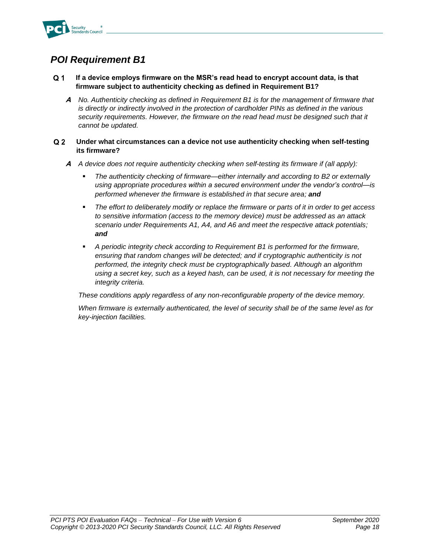

#### <span id="page-19-0"></span> $Q<sub>1</sub>$ **If a device employs firmware on the MSR's read head to encrypt account data, is that firmware subject to authenticity checking as defined in Requirement B1?**

**A** *No. Authenticity checking as defined in Requirement B1 is for the management of firmware that is directly or indirectly involved in the protection of cardholder PINs as defined in the various*  security requirements. However, the firmware on the read head must be designed such that it *cannot be updated.*

#### $Q<sub>2</sub>$ **Under what circumstances can a device not use authenticity checking when self-testing its firmware?**

- **A** *A device does not require authenticity checking when self-testing its firmware if (all apply):*
	- *The authenticity checking of firmware—either internally and according to B2 or externally using appropriate procedures within a secured environment under the vendor's control—is performed whenever the firmware is established in that secure area; and*
	- The effort to deliberately modify or replace the firmware or parts of it in order to get access *to sensitive information (access to the memory device) must be addressed as an attack scenario under Requirements A1, A4, and A6 and meet the respective attack potentials; and*
	- *A periodic integrity check according to Requirement B1 is performed for the firmware, ensuring that random changes will be detected; and if cryptographic authenticity is not performed, the integrity check must be cryptographically based. Although an algorithm using a secret key, such as a keyed hash, can be used, it is not necessary for meeting the integrity criteria.*

*These conditions apply regardless of any non-reconfigurable property of the device memory.*

*When firmware is externally authenticated, the level of security shall be of the same level as for key-injection facilities.*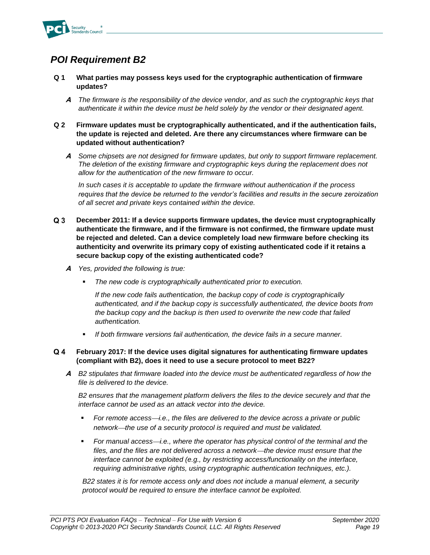

- <span id="page-20-0"></span>**Q 1 What parties may possess keys used for the cryptographic authentication of firmware updates?**
	- **A** *The firmware is the responsibility of the device vendor, and as such the cryptographic keys that authenticate it within the device must be held solely by the vendor or their designated agent.*
- **Q 2 Firmware updates must be cryptographically authenticated, and if the authentication fails, the update is rejected and deleted. Are there any circumstances where firmware can be updated without authentication?**
	- **A** *Some chipsets are not designed for firmware updates, but only to support firmware replacement. The deletion of the existing firmware and cryptographic keys during the replacement does not allow for the authentication of the new firmware to occur.*

*In such cases it is acceptable to update the firmware without authentication if the process requires that the device be returned to the vendor's facilities and results in the secure zeroization of all secret and private keys contained within the device.*

- $Q<sub>3</sub>$ **December 2011: If a device supports firmware updates, the device must cryptographically authenticate the firmware, and if the firmware is not confirmed, the firmware update must be rejected and deleted. Can a device completely load new firmware before checking its authenticity and overwrite its primary copy of existing authenticated code if it retains a secure backup copy of the existing authenticated code?**
	- **A** *Yes, provided the following is true:*
		- *The new code is cryptographically authenticated prior to execution.*

*If the new code fails authentication, the backup copy of code is cryptographically authenticated, and if the backup copy is successfully authenticated, the device boots from the backup copy and the backup is then used to overwrite the new code that failed authentication.*

▪ *If both firmware versions fail authentication, the device fails in a secure manner.*

#### $Q_4$ **February 2017: If the device uses digital signatures for authenticating firmware updates (compliant with B2), does it need to use a secure protocol to meet B22?**

**A** *B2 stipulates that firmware loaded into the device must be authenticated regardless of how the file is delivered to the device.* 

*B2 ensures that the management platform delivers the files to the device securely and that the interface cannot be used as an attack vector into the device.* 

- For remote access—*i.e., the files are delivered to the device across a private or public network*⎯*the use of a security protocol is required and must be validated.*
- For manual access—i.e., where the operator has physical control of the terminal and the files, and the files are not delivered across a network—the device must ensure that the *interface cannot be exploited (e.g., by restricting access/functionality on the interface, requiring administrative rights, using cryptographic authentication techniques, etc.).*

*B22 states it is for remote access only and does not include a manual element, a security protocol would be required to ensure the interface cannot be exploited.*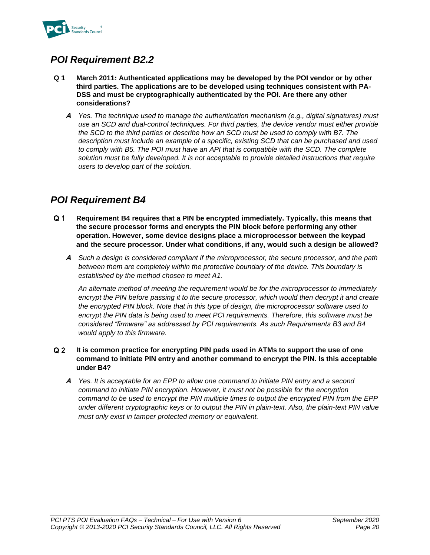

## <span id="page-21-0"></span>*POI Requirement B2.2*

- **Q 1 March 2011: Authenticated applications may be developed by the POI vendor or by other third parties. The applications are to be developed using techniques consistent with PA-DSS and must be cryptographically authenticated by the POI. Are there any other considerations?**
	- **A** *Yes. The technique used to manage the authentication mechanism (e.g., digital signatures) must use an SCD and dual-control techniques. For third parties, the device vendor must either provide the SCD to the third parties or describe how an SCD must be used to comply with B7. The description must include an example of a specific, existing SCD that can be purchased and used to comply with B5. The POI must have an API that is compatible with the SCD. The complete solution must be fully developed. It is not acceptable to provide detailed instructions that require users to develop part of the solution.*

## <span id="page-21-1"></span>*POI Requirement B4*

- $Q<sub>1</sub>$ **Requirement B4 requires that a PIN be encrypted immediately. Typically, this means that the secure processor forms and encrypts the PIN block before performing any other operation. However, some device designs place a microprocessor between the keypad and the secure processor. Under what conditions, if any, would such a design be allowed?** 
	- **A** *Such a design is considered compliant if the microprocessor, the secure processor, and the path*  between them are completely within the protective boundary of the device. This boundary is *established by the method chosen to meet A1.*

*An alternate method of meeting the requirement would be for the microprocessor to immediately*  encrypt the PIN before passing it to the secure processor, which would then decrypt it and create *the encrypted PIN block. Note that in this type of design, the microprocessor software used to encrypt the PIN data is being used to meet PCI requirements. Therefore, this software must be considered "firmware" as addressed by PCI requirements. As such Requirements B3 and B4 would apply to this firmware.* 

#### $Q<sub>2</sub>$ **It is common practice for encrypting PIN pads used in ATMs to support the use of one command to initiate PIN entry and another command to encrypt the PIN. Is this acceptable under B4?**

**A** *Yes. It is acceptable for an EPP to allow one command to initiate PIN entry and a second command to initiate PIN encryption. However, it must not be possible for the encryption command to be used to encrypt the PIN multiple times to output the encrypted PIN from the EPP under different cryptographic keys or to output the PIN in plain-text. Also, the plain-text PIN value must only exist in tamper protected memory or equivalent.*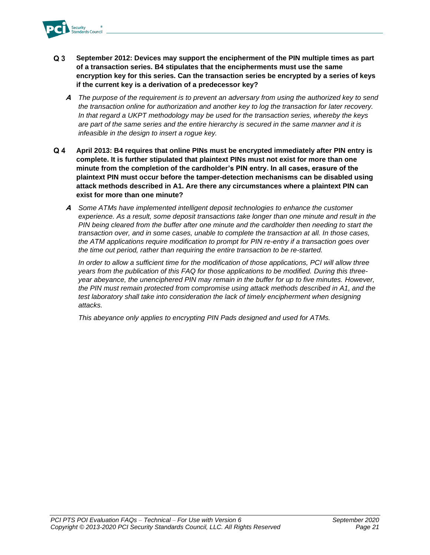

- $Q<sub>3</sub>$ **September 2012: Devices may support the encipherment of the PIN multiple times as part of a transaction series. B4 stipulates that the encipherments must use the same encryption key for this series. Can the transaction series be encrypted by a series of keys if the current key is a derivation of a predecessor key?**
	- **A** *The purpose of the requirement is to prevent an adversary from using the authorized key to send the transaction online for authorization and another key to log the transaction for later recovery. In that regard a UKPT methodology may be used for the transaction series, whereby the keys are part of the same series and the entire hierarchy is secured in the same manner and it is infeasible in the design to insert a rogue key.*
- $Q_4$ **April 2013: B4 requires that online PINs must be encrypted immediately after PIN entry is complete. It is further stipulated that plaintext PINs must not exist for more than one minute from the completion of the cardholder's PIN entry. In all cases, erasure of the plaintext PIN must occur before the tamper-detection mechanisms can be disabled using attack methods described in A1. Are there any circumstances where a plaintext PIN can exist for more than one minute?**
	- **A** *Some ATMs have implemented intelligent deposit technologies to enhance the customer experience. As a result, some deposit transactions take longer than one minute and result in the PIN being cleared from the buffer after one minute and the cardholder then needing to start the transaction over, and in some cases, unable to complete the transaction at all. In those cases, the ATM applications require modification to prompt for PIN re-entry if a transaction goes over the time out period, rather than requiring the entire transaction to be re-started.*

*In order to allow a sufficient time for the modification of those applications, PCI will allow three years from the publication of this FAQ for those applications to be modified. During this threeyear abeyance, the unenciphered PIN may remain in the buffer for up to five minutes. However, the PIN must remain protected from compromise using attack methods described in A1, and the*  test laboratory shall take into consideration the lack of timely encipherment when designing *attacks.*

*This abeyance only applies to encrypting PIN Pads designed and used for ATMs.*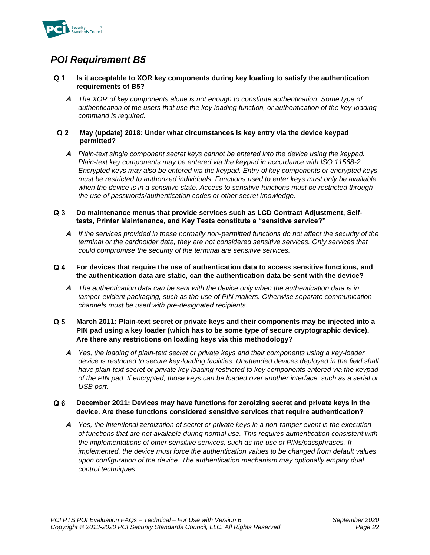

- <span id="page-23-0"></span>**Q 1 Is it acceptable to XOR key components during key loading to satisfy the authentication requirements of B5?**
	- **A** *The XOR of key components alone is not enough to constitute authentication. Some type of authentication of the users that use the key loading function, or authentication of the key-loading command is required.*

#### $Q<sub>2</sub>$ **May (update) 2018: Under what circumstances is key entry via the device keypad permitted?**

**A** *Plain-text single component secret keys cannot be entered into the device using the keypad. Plain-text key components may be entered via the keypad in accordance with ISO 11568-2. Encrypted keys may also be entered via the keypad. Entry of key components or encrypted keys must be restricted to authorized individuals. Functions used to enter keys must only be available when the device is in a sensitive state. Access to sensitive functions must be restricted through the use of passwords/authentication codes or other secret knowledge.* 

#### $Q<sub>3</sub>$ **Do maintenance menus that provide services such as LCD Contract Adjustment, Selftests, Printer Maintenance, and Key Tests constitute a "sensitive service?"**

**A** *If the services provided in these normally non-permitted functions do not affect the security of the terminal or the cardholder data, they are not considered sensitive services. Only services that could compromise the security of the terminal are sensitive services.*

#### $Q_4$ **For devices that require the use of authentication data to access sensitive functions, and the authentication data are static, can the authentication data be sent with the device?**

**A** *The authentication data can be sent with the device only when the authentication data is in tamper-evident packaging, such as the use of PIN mailers. Otherwise separate communication channels must be used with pre-designated recipients.* 

#### $Q<sub>5</sub>$ **March 2011: Plain-text secret or private keys and their components may be injected into a PIN pad using a key loader (which has to be some type of secure cryptographic device). Are there any restrictions on loading keys via this methodology?**

**A** *Yes, the loading of plain-text secret or private keys and their components using a key-loader*  device is restricted to secure key-loading facilities. Unattended devices deployed in the field shall *have plain-text secret or private key loading restricted to key components entered via the keypad of the PIN pad. If encrypted, those keys can be loaded over another interface, such as a serial or USB port.* 

#### $Q6$ **December 2011: Devices may have functions for zeroizing secret and private keys in the device. Are these functions considered sensitive services that require authentication?**

**A** *Yes, the intentional zeroization of secret or private keys in a non-tamper event is the execution of functions that are not available during normal use. This requires authentication consistent with the implementations of other sensitive services, such as the use of PINs/passphrases. If implemented, the device must force the authentication values to be changed from default values upon configuration of the device. The authentication mechanism may optionally employ dual control techniques.*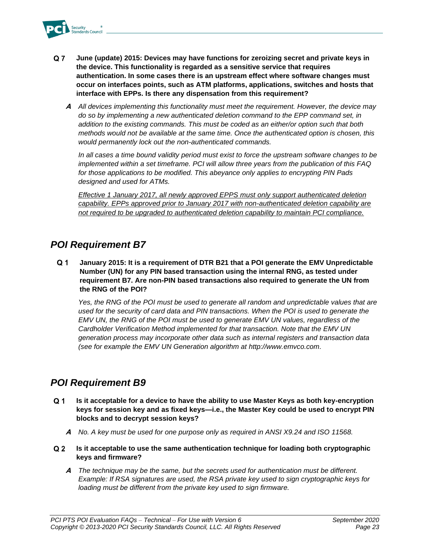

- $Q<sub>7</sub>$ **June (update) 2015: Devices may have functions for zeroizing secret and private keys in the device. This functionality is regarded as a sensitive service that requires authentication. In some cases there is an upstream effect where software changes must occur on interfaces points, such as ATM platforms, applications, switches and hosts that interface with EPPs. Is there any dispensation from this requirement?**
	- **A** *All devices implementing this functionality must meet the requirement. However, the device may do so by implementing a new authenticated deletion command to the EPP command set, in addition to the existing commands. This must be coded as an either/or option such that both methods would not be available at the same time. Once the authenticated option is chosen, this would permanently lock out the non-authenticated commands.*

*In all cases a time bound validity period must exist to force the upstream software changes to be implemented within a set timeframe. PCI will allow three years from the publication of this FAQ for those applications to be modified. This abeyance only applies to encrypting PIN Pads designed and used for ATMs.*

*Effective 1 January 2017, all newly approved EPPS must only support authenticated deletion capability. EPPs approved prior to January 2017 with non-authenticated deletion capability are not required to be upgraded to authenticated deletion capability to maintain PCI compliance.*

### <span id="page-24-0"></span>*POI Requirement B7*

 $Q<sub>1</sub>$ **January 2015: It is a requirement of DTR B21 that a POI generate the EMV Unpredictable Number (UN) for any PIN based transaction using the internal RNG, as tested under requirement B7. Are non-PIN based transactions also required to generate the UN from the RNG of the POI?**

*Yes, the RNG of the POI must be used to generate all random and unpredictable values that are used for the security of card data and PIN transactions. When the POI is used to generate the EMV UN, the RNG of the POI must be used to generate EMV UN values, regardless of the Cardholder Verification Method implemented for that transaction. Note that the EMV UN generation process may incorporate other data such as internal registers and transaction data (see for example the EMV UN Generation algorithm at [http://www.emvco.com.](http://www.emvco.com/)*

## <span id="page-24-1"></span>*POI Requirement B9*

- $Q<sub>1</sub>$ **Is it acceptable for a device to have the ability to use Master Keys as both key-encryption keys for session key and as fixed keys—i.e., the Master Key could be used to encrypt PIN blocks and to decrypt session keys?**
	- **A** *No. A key must be used for one purpose only as required in ANSI X9.24 and ISO 11568.*
- **Is it acceptable to use the same authentication technique for loading both cryptographic keys and firmware?**
	- **A** *The technique may be the same, but the secrets used for authentication must be different. Example: If RSA signatures are used, the RSA private key used to sign cryptographic keys for loading must be different from the private key used to sign firmware.*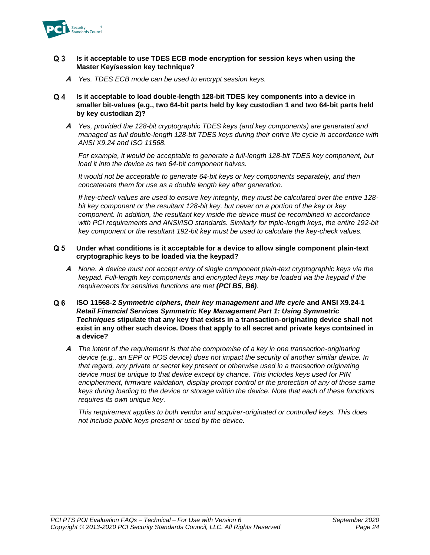

#### $Q<sub>3</sub>$ **Is it acceptable to use TDES ECB mode encryption for session keys when using the Master Key/session key technique?**

- **A** *Yes. TDES ECB mode can be used to encrypt session keys.*
- $Q_4$ **Is it acceptable to load double-length 128-bit TDES key components into a device in smaller bit-values (e.g., two 64-bit parts held by key custodian 1 and two 64-bit parts held by key custodian 2)?**
	- **A** *Yes, provided the 128-bit cryptographic TDES keys (and key components) are generated and managed as full double-length 128-bit TDES keys during their entire life cycle in accordance with ANSI X9.24 and ISO 11568.*

For example, it would be acceptable to generate a full-length 128-bit TDES key component, but *load it into the device as two 64-bit component halves.*

*It would not be acceptable to generate 64-bit keys or key components separately, and then concatenate them for use as a double length key after generation.*

*If key-check values are used to ensure key integrity, they must be calculated over the entire 128 bit key component or the resultant 128-bit key, but never on a portion of the key or key component. In addition, the resultant key inside the device must be recombined in accordance with PCI requirements and ANSI/ISO standards. Similarly for triple-length keys, the entire 192-bit key component or the resultant 192-bit key must be used to calculate the key-check values.*

#### $Q<sub>5</sub>$ **Under what conditions is it acceptable for a device to allow single component plain-text cryptographic keys to be loaded via the keypad?**

- **A** *None. A device must not accept entry of single component plain-text cryptographic keys via the keypad. Full-length key components and encrypted keys may be loaded via the keypad if the requirements for sensitive functions are met (PCI B5, B6).*
- $Q<sub>6</sub>$ **ISO 11568-2** *Symmetric ciphers, their key management and life cycle* **and ANSI X9.24-1**  *Retail Financial Services Symmetric Key Management Part 1: Using Symmetric Techniques* **stipulate that any key that exists in a transaction-originating device shall not exist in any other such device. Does that apply to all secret and private keys contained in a device?**
	- **A** *The intent of the requirement is that the compromise of a key in one transaction-originating device (e.g., an EPP or POS device) does not impact the security of another similar device. In that regard, any private or secret key present or otherwise used in a transaction originating device must be unique to that device except by chance. This includes keys used for PIN encipherment, firmware validation, display prompt control or the protection of any of those same keys during loading to the device or storage within the device. Note that each of these functions requires its own unique key.*

*This requirement applies to both vendor and acquirer-originated or controlled keys. This does not include public keys present or used by the device.*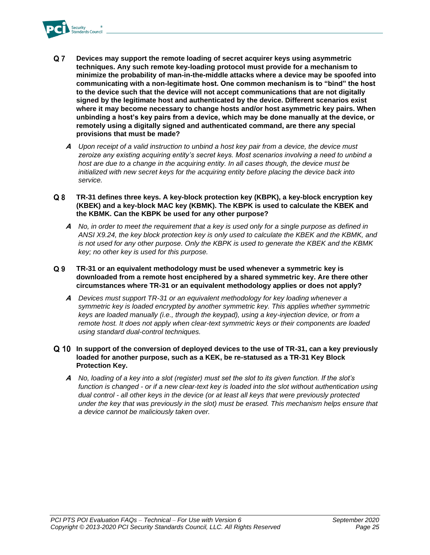

- $Q<sub>7</sub>$ **Devices may support the remote loading of secret acquirer keys using asymmetric techniques. Any such remote key-loading protocol must provide for a mechanism to minimize the probability of man-in-the-middle attacks where a device may be spoofed into communicating with a non-legitimate host. One common mechanism is to "bind" the host to the device such that the device will not accept communications that are not digitally signed by the legitimate host and authenticated by the device. Different scenarios exist where it may become necessary to change hosts and/or host asymmetric key pairs. When unbinding a host's key pairs from a device, which may be done manually at the device, or remotely using a digitally signed and authenticated command, are there any special provisions that must be made?**
	- **A** *Upon receipt of a valid instruction to unbind a host key pair from a device, the device must zeroize any existing acquiring entity's secret keys. Most scenarios involving a need to unbind a host are due to a change in the acquiring entity. In all cases though, the device must be initialized with new secret keys for the acquiring entity before placing the device back into service.*
- $Q8$ **TR-31 defines three keys. A key-block protection key (KBPK), a key-block encryption key (KBEK) and a key-block MAC key (KBMK). The KBPK is used to calculate the KBEK and the KBMK. Can the KBPK be used for any other purpose?**
	- **A** *No, in order to meet the requirement that a key is used only for a single purpose as defined in ANSI X9.24, the key block protection key is only used to calculate the KBEK and the KBMK, and is not used for any other purpose. Only the KBPK is used to generate the KBEK and the KBMK key; no other key is used for this purpose.*
- $Q<sub>9</sub>$ **TR-31 or an equivalent methodology must be used whenever a symmetric key is downloaded from a remote host enciphered by a shared symmetric key. Are there other circumstances where TR-31 or an equivalent methodology applies or does not apply?** 
	- **A** *Devices must support TR-31 or an equivalent methodology for key loading whenever a symmetric key is loaded encrypted by another symmetric key. This applies whether symmetric keys are loaded manually (i.e., through the keypad), using a key-injection device, or from a remote host. It does not apply when clear-text symmetric keys or their components are loaded using standard dual-control techniques.*
- **In support of the conversion of deployed devices to the use of TR-31, can a key previously loaded for another purpose, such as a KEK, be re-statused as a TR-31 Key Block Protection Key.**
	- **A** *No, loading of a key into a slot (register) must set the slot to its given function. If the slot's function is changed - or if a new clear-text key is loaded into the slot without authentication using dual control - all other keys in the device (or at least all keys that were previously protected under the key that was previously in the slot) must be erased. This mechanism helps ensure that a device cannot be maliciously taken over.*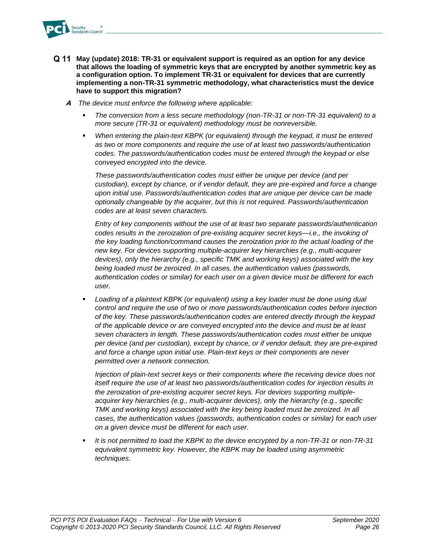

- **May (update) 2018: TR-31 or equivalent support is required as an option for any device that allows the loading of symmetric keys that are encrypted by another symmetric key as a configuration option. To implement TR-31 or equivalent for devices that are currently implementing a non-TR-31 symmetric methodology, what characteristics must the device have to support this migration?**
	- **A** *The device must enforce the following where applicable:*
		- The conversion from a less secure methodology (non-TR-31 or non-TR-31 equivalent) to a *more secure (TR-31 or equivalent) methodology must be nonreversible.*
		- When entering the plain-text KBPK (or equivalent) through the keypad, it must be entered *as two or more components and require the use of at least two passwords/authentication codes. The passwords/authentication codes must be entered through the keypad or else conveyed encrypted into the device.*

*These passwords/authentication codes must either be unique per device (and per custodian), except by chance, or if vendor default, they are pre-expired and force a change upon initial use. Passwords/authentication codes that are unique per device can be made optionally changeable by the acquirer, but this is not required. Passwords/authentication codes are at least seven characters.*

*Entry of key components without the use of at least two separate passwords/authentication codes results in the zeroization of pre-existing acquirer secret keys—i.e., the invoking of the key loading function/command causes the zeroization prior to the actual loading of the new key. For devices supporting multiple-acquirer key hierarchies (e.g., multi-acquirer devices), only the hierarchy (e.g., specific TMK and working keys) associated with the key being loaded must be zeroized. In all cases, the authentication values (passwords, authentication codes or similar) for each user on a given device must be different for each user.* 

Loading of a plaintext KBPK (or equivalent) using a key loader must be done using dual *control and require the use of two or more passwords/authentication codes before injection of the key. These passwords/authentication codes are entered directly through the keypad of the applicable device or are conveyed encrypted into the device and must be at least seven characters in length. These passwords/authentication codes must either be unique per device (and per custodian), except by chance, or if vendor default, they are pre-expired and force a change upon initial use. Plain-text keys or their components are never permitted over a network connection.*

*Injection of plain-text secret keys or their components where the receiving device does not itself require the use of at least two passwords/authentication codes for injection results in the zeroization of pre-existing acquirer secret keys. For devices supporting multipleacquirer key hierarchies (e.g., multi-acquirer devices), only the hierarchy (e.g., specific TMK and working keys) associated with the key being loaded must be zeroized. In all cases, the authentication values (passwords, authentication codes or similar) for each user on a given device must be different for each user.* 

▪ *It is not permitted to load the KBPK to the device encrypted by a non-TR-31 or non-TR-31 equivalent symmetric key. However, the KBPK may be loaded using asymmetric techniques.*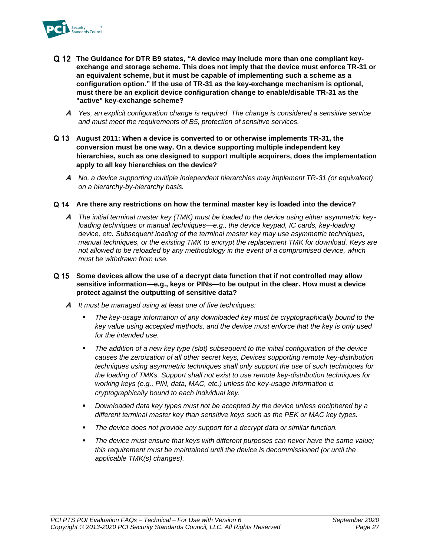

- **The Guidance for DTR B9 states, "A device may include more than one compliant keyexchange and storage scheme. This does not imply that the device must enforce TR-31 or an equivalent scheme, but it must be capable of implementing such a scheme as a configuration option." If the use of TR-31 as the key-exchange mechanism is optional, must there be an explicit device configuration change to enable/disable TR-31 as the "active" key-exchange scheme?**
	- **A** *Yes, an explicit configuration change is required. The change is considered a sensitive service and must meet the requirements of B5, protection of sensitive services.*
- **August 2011: When a device is converted to or otherwise implements TR-31, the conversion must be one way. On a device supporting multiple independent key hierarchies, such as one designed to support multiple acquirers, does the implementation apply to all key hierarchies on the device?**
	- **A** *No, a device supporting multiple independent hierarchies may implement TR-31 (or equivalent) on a hierarchy-by-hierarchy basis.*
- **Are there any restrictions on how the terminal master key is loaded into the device?**
	- **A** *The initial terminal master key (TMK) must be loaded to the device using either asymmetric keyloading techniques or manual techniques—e.g., the device keypad, IC cards, key-loading device, etc. Subsequent loading of the terminal master key may use asymmetric techniques, manual techniques, or the existing TMK to encrypt the replacement TMK for download. Keys are not allowed to be reloaded by any methodology in the event of a compromised device, which must be withdrawn from use.*
- **Some devices allow the use of a decrypt data function that if not controlled may allow sensitive information—e.g., keys or PINs—to be output in the clear. How must a device protect against the outputting of sensitive data?**
	- **A** *It must be managed using at least one of five techniques:*
		- The key-usage information of any downloaded key must be cryptographically bound to the *key value using accepted methods, and the device must enforce that the key is only used for the intended use.*
		- *The addition of a new key type (slot) subsequent to the initial configuration of the device causes the zeroization of all other secret keys, Devices supporting remote key-distribution techniques using asymmetric techniques shall only support the use of such techniques for the loading of TMKs. Support shall not exist to use remote key-distribution techniques for working keys (e.g., PIN, data, MAC, etc.) unless the key-usage information is cryptographically bound to each individual key.*
		- *Downloaded data key types must not be accepted by the device unless enciphered by a different terminal master key than sensitive keys such as the PEK or MAC key types.*
		- The device does not provide any support for a decrypt data or similar function.
		- *The device must ensure that keys with different purposes can never have the same value; this requirement must be maintained until the device is decommissioned (or until the applicable TMK(s) changes).*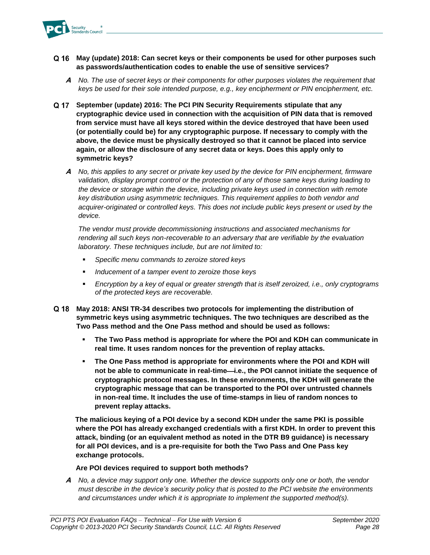

### **May (update) 2018: Can secret keys or their components be used for other purposes such as passwords/authentication codes to enable the use of sensitive services?**

- **A** *No. The use of secret keys or their components for other purposes violates the requirement that keys be used for their sole intended purpose, e.g., key encipherment or PIN encipherment, etc.*
- **September (update) 2016: The PCI PIN Security Requirements stipulate that any cryptographic device used in connection with the acquisition of PIN data that is removed from service must have all keys stored within the device destroyed that have been used (or potentially could be) for any cryptographic purpose. If necessary to comply with the above, the device must be physically destroyed so that it cannot be placed into service again, or allow the disclosure of any secret data or keys. Does this apply only to symmetric keys?**
	- **A** *No, this applies to any secret or private key used by the device for PIN encipherment, firmware validation, display prompt control or the protection of any of those same keys during loading to the device or storage within the device, including private keys used in connection with remote key distribution using asymmetric techniques. This requirement applies to both vendor and acquirer-originated or controlled keys. This does not include public keys present or used by the device.*

*The vendor must provide decommissioning instructions and associated mechanisms for rendering all such keys non-recoverable to an adversary that are verifiable by the evaluation laboratory. These techniques include, but are not limited to:*

- *Specific menu commands to zeroize stored keys*
- *Inducement of a tamper event to zeroize those keys*
- *Encryption by a key of equal or greater strength that is itself zeroized, i.e., only cryptograms of the protected keys are recoverable.*
- **May 2018: ANSI TR-34 describes two protocols for implementing the distribution of symmetric keys using asymmetric techniques. The two techniques are described as the Two Pass method and the One Pass method and should be used as follows:**
	- The Two Pass method is appropriate for where the POI and KDH can communicate in **real time. It uses random nonces for the prevention of replay attacks.**
	- The One Pass method is appropriate for environments where the POI and KDH will not be able to communicate in real-time—i.e., the POI cannot initiate the sequence of **cryptographic protocol messages. In these environments, the KDH will generate the cryptographic message that can be transported to the POI over untrusted channels in non-real time. It includes the use of time-stamps in lieu of random nonces to prevent replay attacks.**

**The malicious keying of a POI device by a second KDH under the same PKI is possible where the POI has already exchanged credentials with a first KDH. In order to prevent this attack, binding (or an equivalent method as noted in the DTR B9 guidance) is necessary for all POI devices, and is a pre-requisite for both the Two Pass and One Pass key exchange protocols.** 

### **Are POI devices required to support both methods?**

**A** *No, a device may support only one. Whether the device supports only one or both, the vendor must describe in the device's security policy that is posted to the PCI website the environments and circumstances under which it is appropriate to implement the supported method(s).*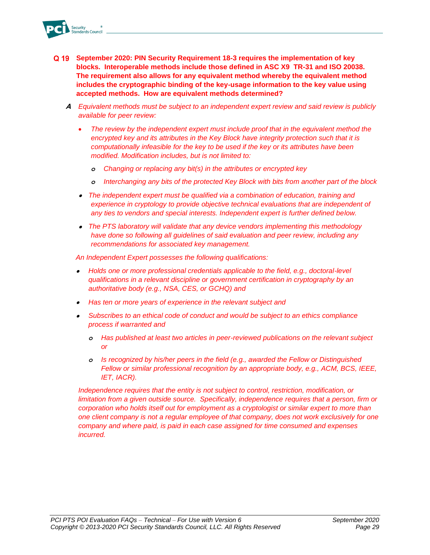

- **September 2020: PIN Security Requirement 18-3 requires the implementation of key blocks. Interoperable methods include those defined in ASC X9 TR-31 and ISO 20038. The requirement also allows for any equivalent method whereby the equivalent method includes the cryptographic binding of the key-usage information to the key value using accepted methods. How are equivalent methods determined?**
	- **A** *Equivalent methods must be subject to an independent expert review and said review is publicly available for peer review:*
		- *The review by the independent expert must include proof that in the equivalent method the encrypted key and its attributes in the Key Block have integrity protection such that it is computationally infeasible for the key to be used if the key or its attributes have been modified. Modification includes, but is not limited to:*
			- *o Changing or replacing any bit(s) in the attributes or encrypted key*
			- *o Interchanging any bits of the protected Key Block with bits from another part of the block*
		- *The independent expert must be qualified via a combination of education, training and experience in cryptology to provide objective technical evaluations that are independent of any ties to vendors and special interests. Independent expert is further defined below.*
		- *The PTS laboratory will validate that any device vendors implementing this methodology have done so following all guidelines of said evaluation and peer review, including any recommendations for associated key management.*

*An Independent Expert possesses the following qualifications:*

- *Holds one or more professional credentials applicable to the field, e.g., doctoral-level qualifications in a relevant discipline or government certification in cryptography by an authoritative body (e.g., NSA, CES, or GCHQ) and*
- *Has ten or more years of experience in the relevant subject and*
- *Subscribes to an ethical code of conduct and would be subject to an ethics compliance process if warranted and* 
	- *o Has published at least two articles in peer-reviewed publications on the relevant subject or*
	- *o Is recognized by his/her peers in the field (e.g., awarded the Fellow or Distinguished Fellow or similar professional recognition by an appropriate body, e.g., ACM, BCS, IEEE, IET, IACR).*

*Independence requires that the entity is not subject to control, restriction, modification, or limitation from a given outside source. Specifically, independence requires that a person, firm or corporation who holds itself out for employment as a cryptologist or similar expert to more than one client company is not a regular employee of that company, does not work exclusively for one company and where paid, is paid in each case assigned for time consumed and expenses incurred.*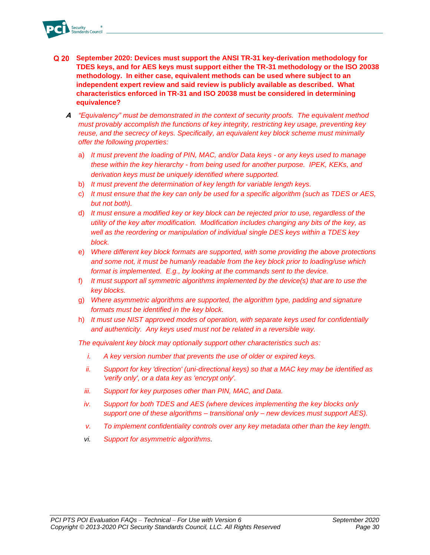- **September 2020: Devices must support the ANSI TR-31 key-derivation methodology for TDES keys, and for AES keys must support either the TR-31 methodology or the ISO 20038 methodology. In either case, equivalent methods can be used where subject to an independent expert review and said review is publicly available as described. What characteristics enforced in TR-31 and ISO 20038 must be considered in determining equivalence?** 
	- **A** *"Equivalency" must be demonstrated in the context of security proofs. The equivalent method must provably accomplish the functions of key integrity, restricting key usage, preventing key reuse, and the secrecy of keys. Specifically, an equivalent key block scheme must minimally offer the following properties:*
		- a) *It must prevent the loading of PIN, MAC, and/or Data keys - or any keys used to manage these within the key hierarchy - from being used for another purpose. IPEK, KEKs, and derivation keys must be uniquely identified where supported.*
		- b) *It must prevent the determination of key length for variable length keys.*
		- c) *It must ensure that the key can only be used for a specific algorithm (such as TDES or AES, but not both).*
		- d) *It must ensure a modified key or key block can be rejected prior to use, regardless of the utility of the key after modification. Modification includes changing any bits of the key, as well as the reordering or manipulation of individual single DES keys within a TDES key block.*
		- e) *Where different key block formats are supported, with some providing the above protections and some not, it must be humanly readable from the key block prior to loading/use which format is implemented. E.g., by looking at the commands sent to the device.*
		- f) *It must support all symmetric algorithms implemented by the device(s) that are to use the key blocks.*
		- g) *Where asymmetric algorithms are supported, the algorithm type, padding and signature formats must be identified in the key block.*
		- h) *It must use NIST approved modes of operation, with separate keys used for confidentially and authenticity. Any keys used must not be related in a reversible way.*

*The equivalent key block may optionally support other characteristics such as:*

- *i. A key version number that prevents the use of older or expired keys.*
- *ii. Support for key 'direction' (uni-directional keys) so that a MAC key may be identified as 'verify only', or a data key as 'encrypt only'.*
- *iii. Support for key purposes other than PIN, MAC, and Data.*
- *iv. Support for both TDES and AES (where devices implementing the key blocks only support one of these algorithms – transitional only – new devices must support AES).*
- *v. To implement confidentiality controls over any key metadata other than the key length.*
- *vi. Support for asymmetric algorithms.*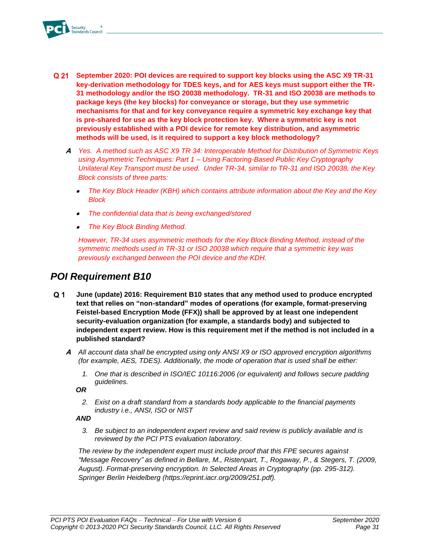

- **September 2020: POI devices are required to support key blocks using the ASC X9 TR-31**  Q 21 **key-derivation methodology for TDES keys, and for AES keys must support either the TR-31 methodology and/or the ISO 20038 methodology. TR-31 and ISO 20038 are methods to package keys (the key blocks) for conveyance or storage, but they use symmetric mechanisms for that and for key conveyance require a symmetric key exchange key that is pre-shared for use as the key block protection key. Where a symmetric key is not previously established with a POI device for remote key distribution, and asymmetric methods will be used, is it required to support a key block methodology?**
	- **A** *Yes. A method such as ASC X9 TR 34: Interoperable Method for Distribution of Symmetric Keys using Asymmetric Techniques: Part 1 – Using Factoring-Based Public Key Cryptography Unilateral Key Transport must be used. Under TR-34, similar to TR-31 and ISO 20038, the Key Block consists of three parts:*
		- • *The Key Block Header (KBH) which contains attribute information about the Key and the Key Block*
		- •*The confidential data that is being exchanged/stored*
		- •*The Key Block Binding Method.*

*However, TR-34 uses asymmetric methods for the Key Block Binding Method, instead of the symmetric methods used in TR-31 or ISO 20038 which require that a symmetric key was previously exchanged between the POI device and the KDH.*

### <span id="page-32-0"></span>*POI Requirement B10*

- $Q<sub>1</sub>$ **June (update) 2016: Requirement B10 states that any method used to produce encrypted text that relies on "non-standard" modes of operations (for example, format-preserving Feistel-based Encryption Mode (FFX)) shall be approved by at least one independent security-evaluation organization (for example, a standards body) and subjected to independent expert review. How is this requirement met if the method is not included in a published standard?**
	- **A** *All account data shall be encrypted using only ANSI X9 or ISO approved encryption algorithms (for example, AES, TDES). Additionally, the mode of operation that is used shall be either:* 
		- *1. One that is described in ISO/IEC 10116:2006 (or equivalent) and follows secure padding guidelines.*

*OR*

*2. Exist on a draft standard from a standards body applicable to the financial payments industry i.e., ANSI, ISO or NIST*

*AND*

*3. Be subject to an independent expert review and said review is publicly available and is reviewed by the PCI PTS evaluation laboratory.* 

*The review by the independent expert must include proof that this FPE secures against "Message Recovery" as defined in Bellare, M., Ristenpart, T., Rogaway, P., & Stegers, T. (2009, August). Format-preserving encryption. In Selected Areas in Cryptography (pp. 295-312). Springer Berlin Heidelberg (https://eprint.iacr.org/2009/251.pdf).*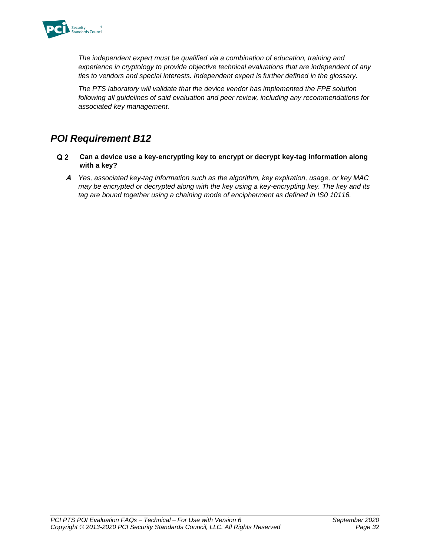

*The independent expert must be qualified via a combination of education, training and experience in cryptology to provide objective technical evaluations that are independent of any ties to vendors and special interests. Independent expert is further defined in the glossary.*

*The PTS laboratory will validate that the device vendor has implemented the FPE solution following all guidelines of said evaluation and peer review, including any recommendations for associated key management.*

## <span id="page-33-0"></span>*POI Requirement B12*

- $Q<sub>2</sub>$ **Can a device use a key-encrypting key to encrypt or decrypt key-tag information along with a key?**
	- **A** *Yes, associated key-tag information such as the algorithm, key expiration, usage, or key MAC may be encrypted or decrypted along with the key using a key-encrypting key. The key and its tag are bound together using a chaining mode of encipherment as defined in IS0 10116.*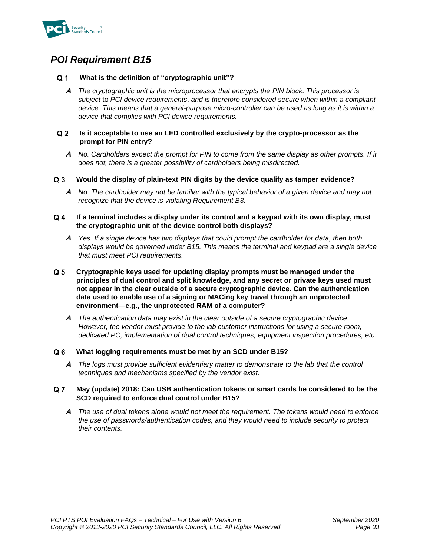

#### <span id="page-34-0"></span> $Q<sub>1</sub>$ **What is the definition of "cryptographic unit"?**

**A** *The cryptographic unit is the microprocessor that encrypts the PIN block. This processor is subject* to *PCI device requirements*, *and is therefore considered secure when within a compliant device. This means that a general-purpose micro-controller can be used as long as it is within a device that complies with PCI device requirements.*

#### $Q<sub>2</sub>$ **Is it acceptable to use an LED controlled exclusively by the crypto-processor as the prompt for PIN entry?**

- **A** *No. Cardholders expect the prompt for PIN to come from the same display as other prompts. If it does not, there is a greater possibility of cardholders being misdirected.*
- **Would the display of plain-text PIN digits by the device qualify as tamper evidence?**  $Q3$ 
	- **A** *No. The cardholder may not be familiar with the typical behavior of a given device and may not recognize that the device is violating Requirement B3.*

#### $Q_4$ **If a terminal includes a display under its control and a keypad with its own display, must the cryptographic unit of the device control both displays?**

- **A** *Yes. If a single device has two displays that could prompt the cardholder for data, then both displays would be governed under B15. This means the terminal and keypad are a single device that must meet PCI requirements.*
- **Cryptographic keys used for updating display prompts must be managed under the**   $Q<sub>5</sub>$ **principles of dual control and split knowledge, and any secret or private keys used must not appear in the clear outside of a secure cryptographic device. Can the authentication data used to enable use of a signing or MACing key travel through an unprotected environment—e.g., the unprotected RAM of a computer?**
	- **A** *The authentication data may exist in the clear outside of a secure cryptographic device. However, the vendor must provide to the lab customer instructions for using a secure room, dedicated PC, implementation of dual control techniques, equipment inspection procedures, etc.*

#### $Q_6$ **What logging requirements must be met by an SCD under B15?**

**A** *The logs must provide sufficient evidentiary matter to demonstrate to the lab that the control techniques and mechanisms specified by the vendor exist.*

#### $Q<sub>7</sub>$ **May (update) 2018: Can USB authentication tokens or smart cards be considered to be the SCD required to enforce dual control under B15?**

**A** *The use of dual tokens alone would not meet the requirement. The tokens would need to enforce the use of passwords/authentication codes, and they would need to include security to protect their contents.*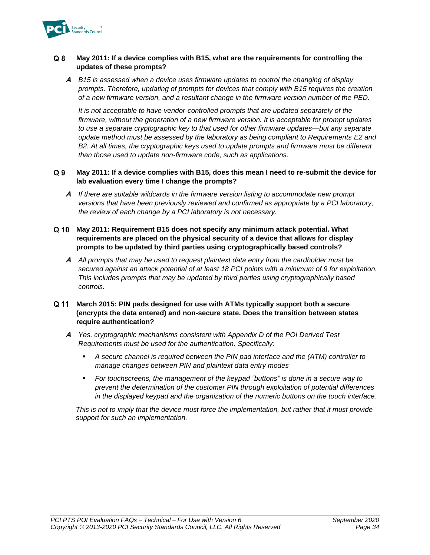

#### $Q<sub>8</sub>$ **May 2011: If a device complies with B15, what are the requirements for controlling the updates of these prompts?**

**A** *B15 is assessed when a device uses firmware updates to control the changing of display prompts. Therefore, updating of prompts for devices that comply with B15 requires the creation of a new firmware version, and a resultant change in the firmware version number of the PED.*

*It is not acceptable to have vendor-controlled prompts that are updated separately of the firmware, without the generation of a new firmware version. It is acceptable for prompt updates to use a separate cryptographic key to that used for other firmware updates—but any separate update method must be assessed by the laboratory as being compliant to Requirements E2 and B2. At all times, the cryptographic keys used to update prompts and firmware must be different than those used to update non-firmware code, such as applications.*

#### $Q<sub>9</sub>$ **May 2011: If a device complies with B15, does this mean I need to re-submit the device for lab evaluation every time I change the prompts?**

- **A** *If there are suitable wildcards in the firmware version listing to accommodate new prompt versions that have been previously reviewed and confirmed as appropriate by a PCI laboratory, the review of each change by a PCI laboratory is not necessary.*
- **May 2011: Requirement B15 does not specify any minimum attack potential. What requirements are placed on the physical security of a device that allows for display prompts to be updated by third parties using cryptographically based controls?**
	- **A** *All prompts that may be used to request plaintext data entry from the cardholder must be secured against an attack potential of at least 18 PCI points with a minimum of 9 for exploitation. This includes prompts that may be updated by third parties using cryptographically based controls.*
- **March 2015: PIN pads designed for use with ATMs typically support both a secure (encrypts the data entered) and non-secure state. Does the transition between states require authentication?**
	- **A** *Yes, cryptographic mechanisms consistent with Appendix D of the POI Derived Test Requirements must be used for the authentication. Specifically:*
		- *A secure channel is required between the PIN pad interface and the (ATM) controller to manage changes between PIN and plaintext data entry modes*
		- *For touchscreens, the management of the keypad "buttons" is done in a secure way to prevent the determination of the customer PIN through exploitation of potential differences in the displayed keypad and the organization of the numeric buttons on the touch interface.*

*This is not to imply that the device must force the implementation, but rather that it must provide support for such an implementation.*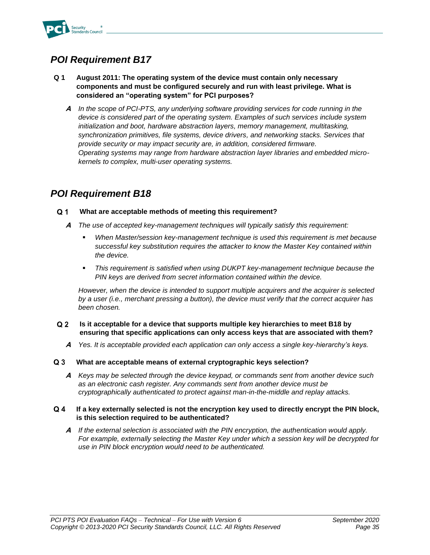

- <span id="page-36-0"></span>**Q 1 August 2011: The operating system of the device must contain only necessary components and must be configured securely and run with least privilege. What is considered an "operating system" for PCI purposes?** 
	- **A** *In the scope of PCI-PTS, any underlying software providing services for code running in the device is considered part of the operating system. Examples of such services include system initialization and boot, hardware abstraction layers, memory management, multitasking, synchronization primitives, file systems, device drivers, and networking stacks. Services that provide security or may impact security are, in addition, considered firmware. Operating systems may range from hardware abstraction layer libraries and embedded microkernels to complex, multi-user operating systems.*

### <span id="page-36-1"></span>*POI Requirement B18*

#### $Q<sub>1</sub>$ **What are acceptable methods of meeting this requirement?**

- **A** *The use of accepted key-management techniques will typically satisfy this requirement:*
	- When Master/session key-management technique is used this requirement is met because *successful key substitution requires the attacker to know the Master Key contained within the device.*
	- **■** *This requirement is satisfied when using DUKPT key-management technique because the PIN keys are derived from secret information contained within the device.*

*However, when the device is intended to support multiple acquirers and the acquirer is selected by a user (i.e., merchant pressing a button), the device must verify that the correct acquirer has been chosen.* 

#### $Q<sub>2</sub>$ **Is it acceptable for a device that supports multiple key hierarchies to meet B18 by ensuring that specific applications can only access keys that are associated with them?**

**A** *Yes. It is acceptable provided each application can only access a single key-hierarchy's keys.*

#### $Q<sub>3</sub>$ **What are acceptable means of external cryptographic keys selection?**

**A** *Keys may be selected through the device keypad, or commands sent from another device such as an electronic cash register. Any commands sent from another device must be cryptographically authenticated to protect against man-in-the-middle and replay attacks.*

#### $Q_4$ **If a key externally selected is not the encryption key used to directly encrypt the PIN block, is this selection required to be authenticated?**

**A** *If the external selection is associated with the PIN encryption, the authentication would apply. For example, externally selecting the Master Key under which a session key will be decrypted for use in PIN block encryption would need to be authenticated.*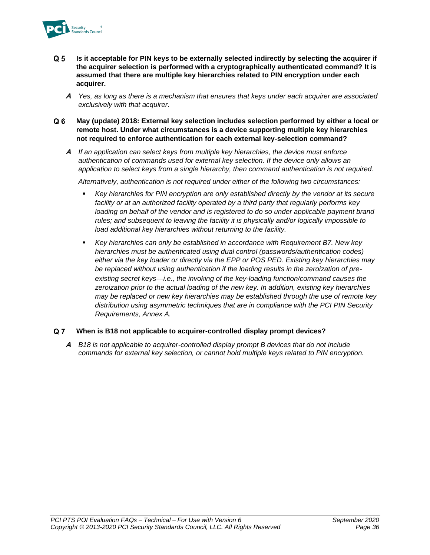

- $Q<sub>5</sub>$ **Is it acceptable for PIN keys to be externally selected indirectly by selecting the acquirer if the acquirer selection is performed with a cryptographically authenticated command? It is assumed that there are multiple key hierarchies related to PIN encryption under each acquirer.**
	- **A** *Yes, as long as there is a mechanism that ensures that keys under each acquirer are associated exclusively with that acquirer.*
- $Q<sub>6</sub>$ **May (update) 2018: External key selection includes selection performed by either a local or remote host. Under what circumstances is a device supporting multiple key hierarchies not required to enforce authentication for each external key-selection command?** 
	- **A** *If an application can select keys from multiple key hierarchies, the device must enforce authentication of commands used for external key selection. If the device only allows an application to select keys from a single hierarchy, then command authentication is not required.*

*Alternatively, authentication is not required under either of the following two circumstances:*

- *Key hierarchies for PIN encryption are only established directly by the vendor at its secure facility or at an authorized facility operated by a third party that regularly performs key* loading on behalf of the vendor and is registered to do so under applicable payment brand *rules; and subsequent to leaving the facility it is physically and/or logically impossible to load additional key hierarchies without returning to the facility.*
- Key hierarchies can only be established in accordance with Requirement B7. New key *hierarchies must be authenticated using dual control (passwords/authentication codes) either via the key loader or directly via the EPP or POS PED. Existing key hierarchies may be replaced without using authentication if the loading results in the zeroization of pre*existing secret keys—*i.e., the invoking of the key-loading function/command causes the zeroization prior to the actual loading of the new key. In addition, existing key hierarchies may be replaced or new key hierarchies may be established through the use of remote key distribution using asymmetric techniques that are in compliance with the PCI PIN Security Requirements, Annex A.*

#### $Q<sub>7</sub>$ **When is B18 not applicable to acquirer-controlled display prompt devices?**

**A** *B18 is not applicable to acquirer-controlled display prompt B devices that do not include commands for external key selection, or cannot hold multiple keys related to PIN encryption.*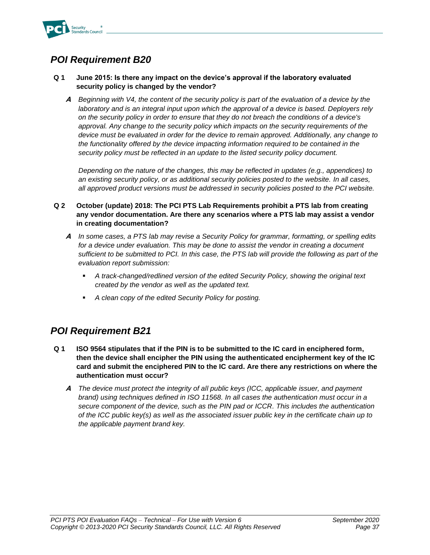

### <span id="page-38-0"></span>**Q 1 June 2015: Is there any impact on the device's approval if the laboratory evaluated security policy is changed by the vendor?**

**A** *Beginning with V4, the content of the security policy is part of the evaluation of a device by the laboratory and is an integral input upon which the approval of a device is based. Deployers rely on the security policy in order to ensure that they do not breach the conditions of a device's approval. Any change to the security policy which impacts on the security requirements of the device must be evaluated in order for the device to remain approved. Additionally, any change to the functionality offered by the device impacting information required to be contained in the security policy must be reflected in an update to the listed security policy document.*

*Depending on the nature of the changes, this may be reflected in updates (e.g., appendices) to an existing security policy, or as additional security policies posted to the website. In all cases, all approved product versions must be addressed in security policies posted to the PCI website.*

### **Q 2 October (update) 2018: The PCI PTS Lab Requirements prohibit a PTS lab from creating any vendor documentation. Are there any scenarios where a PTS lab may assist a vendor in creating documentation?**

- **A** *In some cases, a PTS lab may revise a Security Policy for grammar, formatting, or spelling edits for a device under evaluation. This may be done to assist the vendor in creating a document sufficient to be submitted to PCI. In this case, the PTS lab will provide the following as part of the evaluation report submission:* 
	- *A track-changed/redlined version of the edited Security Policy, showing the original text created by the vendor as well as the updated text.*
	- *A clean copy of the edited Security Policy for posting.*

### <span id="page-38-1"></span>*POI Requirement B21*

- **Q 1 ISO 9564 stipulates that if the PIN is to be submitted to the IC card in enciphered form, then the device shall encipher the PIN using the authenticated encipherment key of the IC card and submit the enciphered PIN to the IC card. Are there any restrictions on where the authentication must occur?**
	- **A** *The device must protect the integrity of all public keys (ICC, applicable issuer, and payment brand) using techniques defined in ISO 11568. In all cases the authentication must occur in a secure component of the device, such as the PIN pad or ICCR. This includes the authentication of the ICC public key(s) as well as the associated issuer public key in the certificate chain up to the applicable payment brand key.*